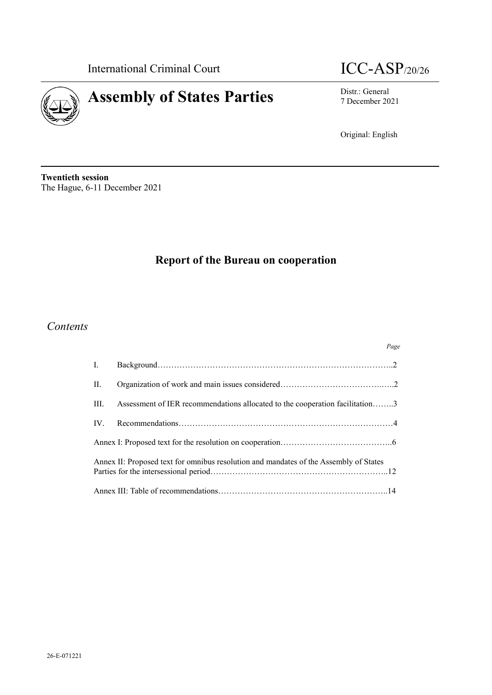International Criminal Court ICC-ASP/20/26



7 December 2021

Original: English

**Twentieth session** The Hague, 6-11 December 2021

# **Report of the Bureau on cooperation**

# *Contents*

|                | Page                                                                                  |
|----------------|---------------------------------------------------------------------------------------|
| $\mathbf{I}$ . |                                                                                       |
| П.             |                                                                                       |
| III.           | Assessment of IER recommendations allocated to the cooperation facilitation3          |
| $IV_{-}$       |                                                                                       |
|                |                                                                                       |
|                | Annex II: Proposed text for omnibus resolution and mandates of the Assembly of States |
|                |                                                                                       |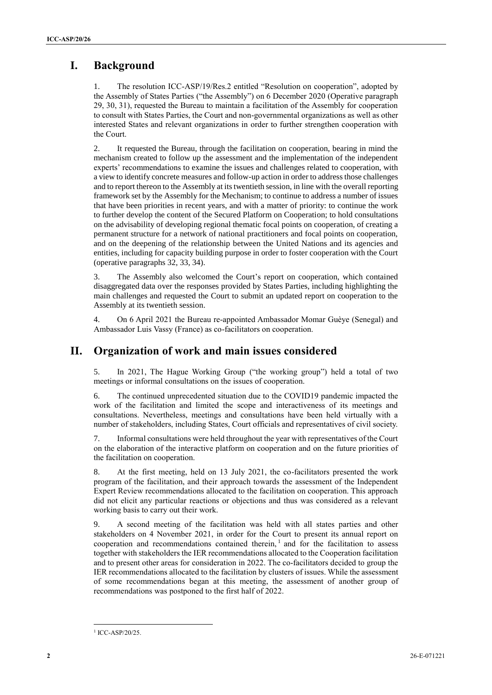# **I. Background**

1. The resolution ICC-ASP/19/Res.2 entitled "Resolution on cooperation", adopted by the Assembly of States Parties ("the Assembly") on 6 December 2020 (Operative paragraph 29, 30, 31), requested the Bureau to maintain a facilitation of the Assembly for cooperation to consult with States Parties, the Court and non-governmental organizations as well as other interested States and relevant organizations in order to further strengthen cooperation with the Court.

2. It requested the Bureau, through the facilitation on cooperation, bearing in mind the mechanism created to follow up the assessment and the implementation of the independent experts' recommendations to examine the issues and challenges related to cooperation, with a view to identify concrete measures and follow-up action in order to address those challenges and to report thereon to the Assembly at its twentieth session, in line with the overall reporting framework set by the Assembly for the Mechanism; to continue to address a number of issues that have been priorities in recent years, and with a matter of priority: to continue the work to further develop the content of the Secured Platform on Cooperation; to hold consultations on the advisability of developing regional thematic focal points on cooperation, of creating a permanent structure for a network of national practitioners and focal points on cooperation, and on the deepening of the relationship between the United Nations and its agencies and entities, including for capacity building purpose in order to foster cooperation with the Court (operative paragraphs 32, 33, 34).

3. The Assembly also welcomed the Court's report on cooperation, which contained disaggregated data over the responses provided by States Parties, including highlighting the main challenges and requested the Court to submit an updated report on cooperation to the Assembly at its twentieth session.

4. On 6 April 2021 the Bureau re-appointed Ambassador Momar Guèye (Senegal) and Ambassador Luis Vassy (France) as co-facilitators on cooperation.

### **II. Organization of work and main issues considered**

5. In 2021, The Hague Working Group ("the working group") held a total of two meetings or informal consultations on the issues of cooperation.

6. The continued unprecedented situation due to the COVID19 pandemic impacted the work of the facilitation and limited the scope and interactiveness of its meetings and consultations. Nevertheless, meetings and consultations have been held virtually with a number of stakeholders, including States, Court officials and representatives of civil society.

7. Informal consultations were held throughout the year with representatives of the Court on the elaboration of the interactive platform on cooperation and on the future priorities of the facilitation on cooperation.

8. At the first meeting, held on 13 July 2021, the co-facilitators presented the work program of the facilitation, and their approach towards the assessment of the Independent Expert Review recommendations allocated to the facilitation on cooperation. This approach did not elicit any particular reactions or objections and thus was considered as a relevant working basis to carry out their work.

9. A second meeting of the facilitation was held with all states parties and other stakeholders on 4 November 2021, in order for the Court to present its annual report on cooperation and recommendations contained therein,<sup>1</sup> and for the facilitation to assess together with stakeholders the IER recommendations allocated to the Cooperation facilitation and to present other areas for consideration in 2022. The co-facilitators decided to group the IER recommendations allocated to the facilitation by clusters of issues. While the assessment of some recommendations began at this meeting, the assessment of another group of recommendations was postponed to the first half of 2022.

<sup>&</sup>lt;sup>1</sup> ICC-ASP/20/25.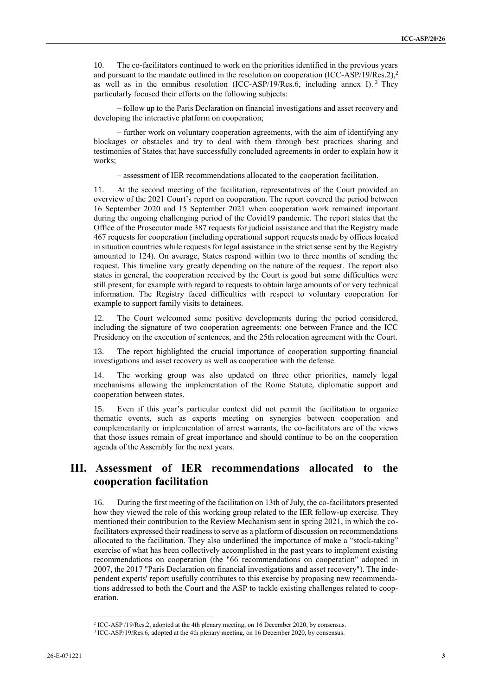10. The co-facilitators continued to work on the priorities identified in the previous years and pursuant to the mandate outlined in the resolution on cooperation (ICC-ASP/19/Res.2),<sup>2</sup> as well as in the omnibus resolution (ICC-ASP/19/Res.6, including annex I).<sup>3</sup> They particularly focused their efforts on the following subjects:

– follow up to the Paris Declaration on financial investigations and asset recovery and developing the interactive platform on cooperation;

– further work on voluntary cooperation agreements, with the aim of identifying any blockages or obstacles and try to deal with them through best practices sharing and testimonies of States that have successfully concluded agreements in order to explain how it works;

– assessment of IER recommendations allocated to the cooperation facilitation.

11. At the second meeting of the facilitation, representatives of the Court provided an overview of the 2021 Court's report on cooperation. The report covered the period between 16 September 2020 and 15 September 2021 when cooperation work remained important during the ongoing challenging period of the Covid19 pandemic. The report states that the Office of the Prosecutor made 387 requests for judicial assistance and that the Registry made 467 requests for cooperation (including operational support requests made by offices located in situation countries while requests for legal assistance in the strict sense sent by the Registry amounted to 124). On average, States respond within two to three months of sending the request. This timeline vary greatly depending on the nature of the request. The report also states in general, the cooperation received by the Court is good but some difficulties were still present, for example with regard to requests to obtain large amounts of or very technical information. The Registry faced difficulties with respect to voluntary cooperation for example to support family visits to detainees.

12. The Court welcomed some positive developments during the period considered, including the signature of two cooperation agreements: one between France and the ICC Presidency on the execution of sentences, and the 25th relocation agreement with the Court.

13. The report highlighted the crucial importance of cooperation supporting financial investigations and asset recovery as well as cooperation with the defense.

14. The working group was also updated on three other priorities, namely legal mechanisms allowing the implementation of the Rome Statute, diplomatic support and cooperation between states.

15. Even if this year's particular context did not permit the facilitation to organize thematic events, such as experts meeting on synergies between cooperation and complementarity or implementation of arrest warrants, the co-facilitators are of the views that those issues remain of great importance and should continue to be on the cooperation agenda of the Assembly for the next years.

# **III. Assessment of IER recommendations allocated to the cooperation facilitation**

16. During the first meeting of the facilitation on 13th of July, the co-facilitators presented how they viewed the role of this working group related to the IER follow-up exercise. They mentioned their contribution to the Review Mechanism sent in spring 2021, in which the cofacilitators expressed their readiness to serve as a platform of discussion on recommendations allocated to the facilitation. They also underlined the importance of make a "stock-taking" exercise of what has been collectively accomplished in the past years to implement existing recommendations on cooperation (the "66 recommendations on cooperation" adopted in 2007, the 2017 "Paris Declaration on financial investigations and asset recovery"). The independent experts' report usefully contributes to this exercise by proposing new recommendations addressed to both the Court and the ASP to tackle existing challenges related to cooperation.

<sup>&</sup>lt;sup>2</sup> ICC-ASP /19/Res.2, adopted at the 4th plenary meeting, on 16 December 2020, by consensus.

<sup>&</sup>lt;sup>3</sup> ICC-ASP/19/Res.6, adopted at the 4th plenary meeting, on 16 December 2020, by consensus.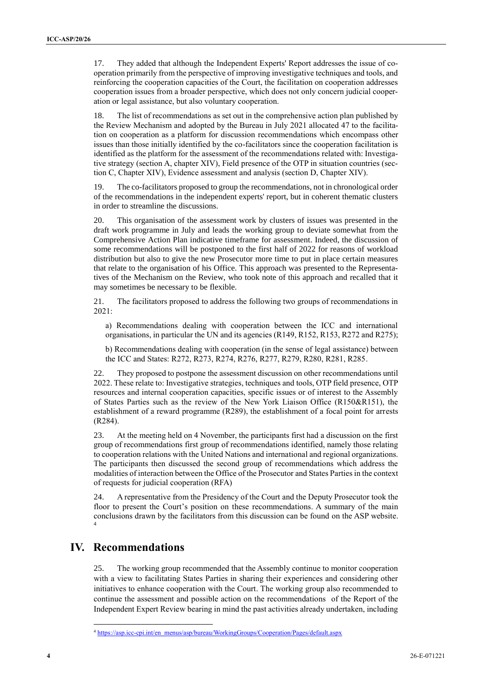17. They added that although the Independent Experts' Report addresses the issue of cooperation primarily from the perspective of improving investigative techniques and tools, and reinforcing the cooperation capacities of the Court, the facilitation on cooperation addresses cooperation issues from a broader perspective, which does not only concern judicial cooperation or legal assistance, but also voluntary cooperation.

18. The list of recommendations as set out in the comprehensive action plan published by the Review Mechanism and adopted by the Bureau in July 2021 allocated 47 to the facilitation on cooperation as a platform for discussion recommendations which encompass other issues than those initially identified by the co-facilitators since the cooperation facilitation is identified as the platform for the assessment of the recommendations related with: Investigative strategy (section A, chapter XIV), Field presence of the OTP in situation countries (section C, Chapter XIV), Evidence assessment and analysis (section D, Chapter XIV).

19. The co-facilitators proposed to group the recommendations, not in chronological order of the recommendations in the independent experts' report, but in coherent thematic clusters in order to streamline the discussions.

20. This organisation of the assessment work by clusters of issues was presented in the draft work programme in July and leads the working group to deviate somewhat from the Comprehensive Action Plan indicative timeframe for assessment. Indeed, the discussion of some recommendations will be postponed to the first half of 2022 for reasons of workload distribution but also to give the new Prosecutor more time to put in place certain measures that relate to the organisation of his Office. This approach was presented to the Representatives of the Mechanism on the Review, who took note of this approach and recalled that it may sometimes be necessary to be flexible.

21. The facilitators proposed to address the following two groups of recommendations in 2021:

a) Recommendations dealing with cooperation between the ICC and international organisations, in particular the UN and its agencies (R149, R152, R153, R272 and R275);

b) Recommendations dealing with cooperation (in the sense of legal assistance) between the ICC and States: R272, R273, R274, R276, R277, R279, R280, R281, R285.

22. They proposed to postpone the assessment discussion on other recommendations until 2022. These relate to: Investigative strategies, techniques and tools, OTP field presence, OTP resources and internal cooperation capacities, specific issues or of interest to the Assembly of States Parties such as the review of the New York Liaison Office (R150&R151), the establishment of a reward programme (R289), the establishment of a focal point for arrests (R284).

23. At the meeting held on 4 November, the participants first had a discussion on the first group of recommendations first group of recommendations identified, namely those relating to cooperation relations with the United Nations and international and regional organizations. The participants then discussed the second group of recommendations which address the modalities of interaction between the Office of the Prosecutor and States Parties in the context of requests for judicial cooperation (RFA)

24. A representative from the Presidency of the Court and the Deputy Prosecutor took the floor to present the Court's position on these recommendations. A summary of the main conclusions drawn by the facilitators from this discussion can be found on the ASP website. 4

# **IV. Recommendations**

 $\overline{\phantom{a}}$ 

25. The working group recommended that the Assembly continue to monitor cooperation with a view to facilitating States Parties in sharing their experiences and considering other initiatives to enhance cooperation with the Court. The working group also recommended to continue the assessment and possible action on the recommendations of the Report of the Independent Expert Review bearing in mind the past activities already undertaken, including

<sup>&</sup>lt;sup>4</sup> [https://asp.icc-cpi.int/en\\_menus/asp/bureau/WorkingGroups/Cooperation/Pages/default.aspx](https://asp.icc-cpi.int/en_menus/asp/bureau/WorkingGroups/Cooperation/Pages/default.aspx)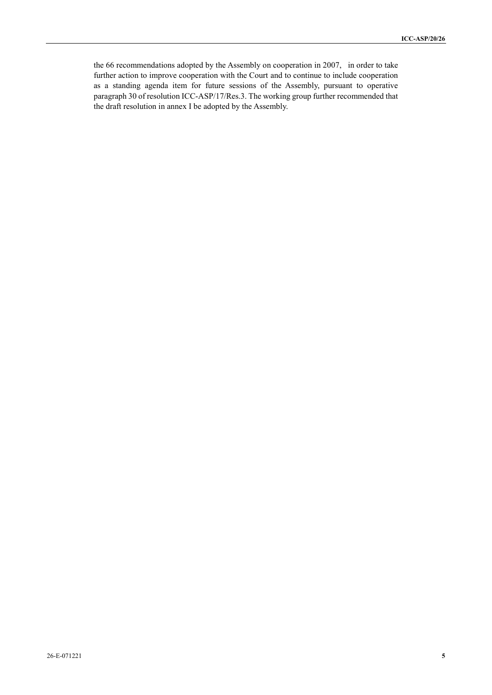the 66 recommendations adopted by the Assembly on cooperation in 2007, in order to take further action to improve cooperation with the Court and to continue to include cooperation as a standing agenda item for future sessions of the Assembly, pursuant to operative paragraph 30 of resolution ICC-ASP/17/Res.3. The working group further recommended that the draft resolution in annex I be adopted by the Assembly.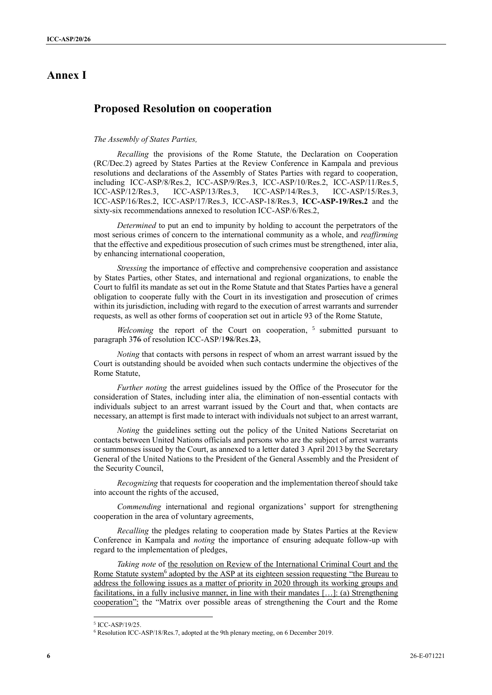### **Annex I**

### **Proposed Resolution on cooperation**

#### *The Assembly of States Parties,*

*Recalling* the provisions of the Rome Statute, the Declaration on Cooperation (RC/Dec.2) agreed by States Parties at the Review Conference in Kampala and previous resolutions and declarations of the Assembly of States Parties with regard to cooperation, including ICC-ASP/8/Res.2, ICC-ASP/9/Res.3, ICC-ASP/10/Res.2, ICC-ASP/11/Res.5, ICC-ASP/12/Res.3, ICC-ASP/13/Res.3, ICC-ASP/14/Res.3, ICC-ASP/15/Res.3, ICC-ASP/16/Res.2, ICC-ASP/17/Res.3, ICC-ASP-18/Res.3, **ICC-ASP-19/Res.2** and the sixty-six recommendations annexed to resolution ICC-ASP/6/Res.2,

*Determined* to put an end to impunity by holding to account the perpetrators of the most serious crimes of concern to the international community as a whole, and *reaffirming*  that the effective and expeditious prosecution of such crimes must be strengthened, inter alia, by enhancing international cooperation,

*Stressing* the importance of effective and comprehensive cooperation and assistance by States Parties, other States, and international and regional organizations, to enable the Court to fulfil its mandate as set out in the Rome Statute and that States Parties have a general obligation to cooperate fully with the Court in its investigation and prosecution of crimes within its jurisdiction, including with regard to the execution of arrest warrants and surrender requests, as well as other forms of cooperation set out in article 93 of the Rome Statute,

Welcoming the report of the Court on cooperation, <sup>5</sup> submitted pursuant to paragraph 3**7**6 of resolution ICC-ASP/1**9**8/Res.**2**3,

*Noting* that contacts with persons in respect of whom an arrest warrant issued by the Court is outstanding should be avoided when such contacts undermine the objectives of the Rome Statute,

*Further noting* the arrest guidelines issued by the Office of the Prosecutor for the consideration of States, including inter alia, the elimination of non-essential contacts with individuals subject to an arrest warrant issued by the Court and that, when contacts are necessary, an attempt is first made to interact with individuals not subject to an arrest warrant,

*Noting* the guidelines setting out the policy of the United Nations Secretariat on contacts between United Nations officials and persons who are the subject of arrest warrants or summonses issued by the Court, as annexed to a letter dated 3 April 2013 by the Secretary General of the United Nations to the President of the General Assembly and the President of the Security Council,

*Recognizing* that requests for cooperation and the implementation thereof should take into account the rights of the accused,

*Commending* international and regional organizations' support for strengthening cooperation in the area of voluntary agreements,

*Recalling* the pledges relating to cooperation made by States Parties at the Review Conference in Kampala and *noting* the importance of ensuring adequate follow-up with regard to the implementation of pledges,

*Taking note* of the resolution on Review of the International Criminal Court and the Rome Statute system<sup>6</sup> adopted by the ASP at its eighteen session requesting "the Bureau to address the following issues as a matter of priority in 2020 through its working groups and facilitations, in a fully inclusive manner, in line with their mandates […]: (a) Strengthening cooperation"; the "Matrix over possible areas of strengthening the Court and the Rome

<sup>5</sup> ICC-ASP/19/25.

<sup>6</sup> Resolution ICC-ASP/18/Res.7, adopted at the 9th plenary meeting, on 6 December 2019.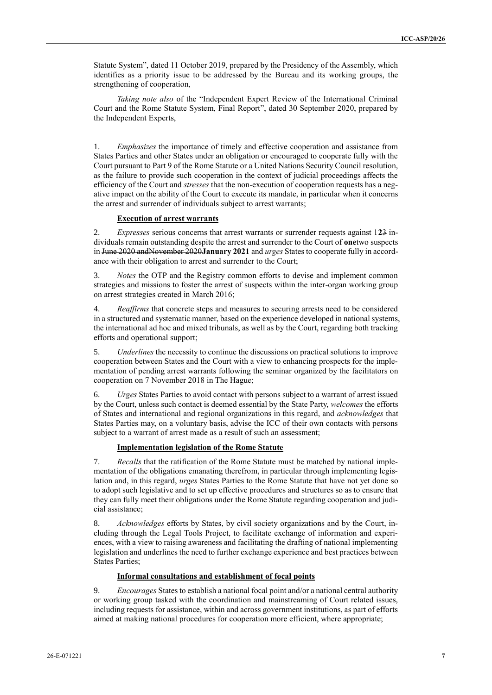Statute System", dated 11 October 2019, prepared by the Presidency of the Assembly, which identifies as a priority issue to be addressed by the Bureau and its working groups, the strengthening of cooperation,

*Taking note also* of the "Independent Expert Review of the International Criminal Court and the Rome Statute System, Final Report", dated 30 September 2020, prepared by the Independent Experts,

1. *Emphasizes* the importance of timely and effective cooperation and assistance from States Parties and other States under an obligation or encouraged to cooperate fully with the Court pursuant to Part 9 of the Rome Statute or a United Nations Security Council resolution, as the failure to provide such cooperation in the context of judicial proceedings affects the efficiency of the Court and *stresses* that the non-execution of cooperation requests has a negative impact on the ability of the Court to execute its mandate, in particular when it concerns the arrest and surrender of individuals subject to arrest warrants;

#### **Execution of arrest warrants**

2. *Expresses* serious concerns that arrest warrants or surrender requests against 1**2**3 individuals remain outstanding despite the arrest and surrender to the Court of **one**two suspects in June 2020 andNovember 2020**January 2021** and *urges* States to cooperate fully in accordance with their obligation to arrest and surrender to the Court;

3. *Notes* the OTP and the Registry common efforts to devise and implement common strategies and missions to foster the arrest of suspects within the inter-organ working group on arrest strategies created in March 2016;

4. *Reaffirms* that concrete steps and measures to securing arrests need to be considered in a structured and systematic manner, based on the experience developed in national systems, the international ad hoc and mixed tribunals, as well as by the Court, regarding both tracking efforts and operational support;

5. *Underlines* the necessity to continue the discussions on practical solutions to improve cooperation between States and the Court with a view to enhancing prospects for the implementation of pending arrest warrants following the seminar organized by the facilitators on cooperation on 7 November 2018 in The Hague;

6. *Urges* States Parties to avoid contact with persons subject to a warrant of arrest issued by the Court, unless such contact is deemed essential by the State Party, *welcomes* the efforts of States and international and regional organizations in this regard, and *acknowledges* that States Parties may, on a voluntary basis, advise the ICC of their own contacts with persons subject to a warrant of arrest made as a result of such an assessment;

#### **Implementation legislation of the Rome Statute**

7. *Recalls* that the ratification of the Rome Statute must be matched by national implementation of the obligations emanating therefrom, in particular through implementing legislation and, in this regard, *urges* States Parties to the Rome Statute that have not yet done so to adopt such legislative and to set up effective procedures and structures so as to ensure that they can fully meet their obligations under the Rome Statute regarding cooperation and judicial assistance;

8. *Acknowledges* efforts by States, by civil society organizations and by the Court, including through the Legal Tools Project, to facilitate exchange of information and experiences, with a view to raising awareness and facilitating the drafting of national implementing legislation and underlines the need to further exchange experience and best practices between States Parties;

#### **Informal consultations and establishment of focal points**

9. *Encourages* States to establish a national focal point and/or a national central authority or working group tasked with the coordination and mainstreaming of Court related issues, including requests for assistance, within and across government institutions, as part of efforts aimed at making national procedures for cooperation more efficient, where appropriate;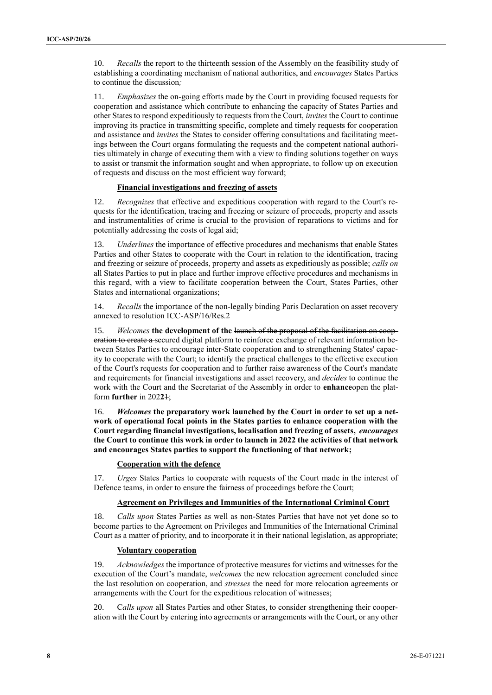10. *Recalls* the report to the thirteenth session of the Assembly on the feasibility study of establishing a coordinating mechanism of national authorities, and *encourages* States Parties to continue the discussion*;*

11. *Emphasizes* the on-going efforts made by the Court in providing focused requests for cooperation and assistance which contribute to enhancing the capacity of States Parties and other States to respond expeditiously to requests from the Court, *invites* the Court to continue improving its practice in transmitting specific, complete and timely requests for cooperation and assistance and *invites* the States to consider offering consultations and facilitating meetings between the Court organs formulating the requests and the competent national authorities ultimately in charge of executing them with a view to finding solutions together on ways to assist or transmit the information sought and when appropriate, to follow up on execution of requests and discuss on the most efficient way forward;

#### **Financial investigations and freezing of assets**

12. *Recognizes* that effective and expeditious cooperation with regard to the Court's requests for the identification, tracing and freezing or seizure of proceeds, property and assets and instrumentalities of crime is crucial to the provision of reparations to victims and for potentially addressing the costs of legal aid;

13. *Underlines* the importance of effective procedures and mechanisms that enable States Parties and other States to cooperate with the Court in relation to the identification, tracing and freezing or seizure of proceeds, property and assets as expeditiously as possible; *calls on*  all States Parties to put in place and further improve effective procedures and mechanisms in this regard, with a view to facilitate cooperation between the Court, States Parties, other States and international organizations;

14. *Recalls* the importance of the non-legally binding Paris Declaration on asset recovery annexed to resolution ICC-ASP/16/Res.2

15. *Welcomes* **the development of the** launch of the proposal of the facilitation on cooperation to create a secured digital platform to reinforce exchange of relevant information between States Parties to encourage inter-State cooperation and to strengthening States' capacity to cooperate with the Court; to identify the practical challenges to the effective execution of the Court's requests for cooperation and to further raise awareness of the Court's mandate and requirements for financial investigations and asset recovery, and *decides* to continue the work with the Court and the Secretariat of the Assembly in order to **enhance**open the platform **further** in 202**2**1;

16. *Welcomes* **the preparatory work launched by the Court in order to set up a network of operational focal points in the States parties to enhance cooperation with the Court regarding financial investigations, localisation and freezing of assets,** *encourages* **the Court to continue this work in order to launch in 2022 the activities of that network and encourages States parties to support the functioning of that network;**

#### **Cooperation with the defence**

17. *Urges* States Parties to cooperate with requests of the Court made in the interest of Defence teams, in order to ensure the fairness of proceedings before the Court;

#### **Agreement on Privileges and Immunities of the International Criminal Court**

18. *Calls upon* States Parties as well as non-States Parties that have not yet done so to become parties to the Agreement on Privileges and Immunities of the International Criminal Court as a matter of priority, and to incorporate it in their national legislation, as appropriate;

#### **Voluntary cooperation**

19. *Acknowledges* the importance of protective measures for victims and witnesses for the execution of the Court's mandate, *welcomes* the new relocation agreement concluded since the last resolution on cooperation, and *stresses* the need for more relocation agreements or arrangements with the Court for the expeditious relocation of witnesses;

20. C*alls upon* all States Parties and other States, to consider strengthening their cooperation with the Court by entering into agreements or arrangements with the Court, or any other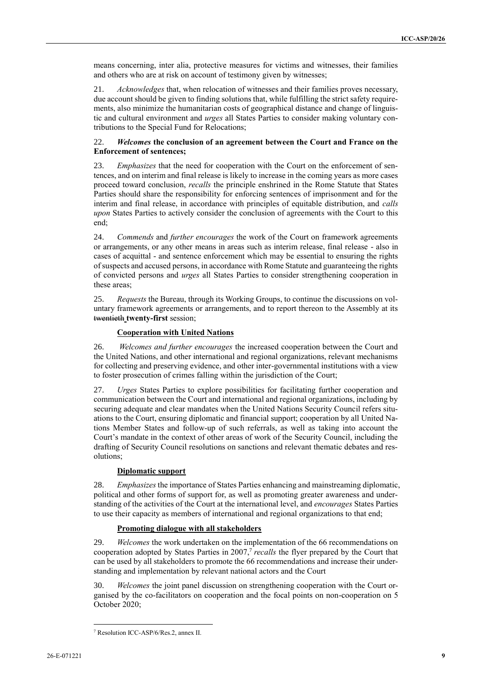means concerning, inter alia, protective measures for victims and witnesses, their families and others who are at risk on account of testimony given by witnesses;

21. *Acknowledges* that, when relocation of witnesses and their families proves necessary, due account should be given to finding solutions that, while fulfilling the strict safety requirements, also minimize the humanitarian costs of geographical distance and change of linguistic and cultural environment and *urges* all States Parties to consider making voluntary contributions to the Special Fund for Relocations;

#### 22. *Welcomes* **the conclusion of an agreement between the Court and France on the Enforcement of sentences;**

23. *Emphasizes* that the need for cooperation with the Court on the enforcement of sentences, and on interim and final release is likely to increase in the coming years as more cases proceed toward conclusion, *recalls* the principle enshrined in the Rome Statute that States Parties should share the responsibility for enforcing sentences of imprisonment and for the interim and final release, in accordance with principles of equitable distribution, and *calls upon* States Parties to actively consider the conclusion of agreements with the Court to this end;

24. *Commends* and *further encourages* the work of the Court on framework agreements or arrangements, or any other means in areas such as interim release, final release - also in cases of acquittal - and sentence enforcement which may be essential to ensuring the rights of suspects and accused persons, in accordance with Rome Statute and guaranteeing the rights of convicted persons and *urges* all States Parties to consider strengthening cooperation in these areas;

25. *Requests* the Bureau, through its Working Groups, to continue the discussions on voluntary framework agreements or arrangements, and to report thereon to the Assembly at its twentieth **twenty-first** session;

#### **Cooperation with United Nations**

26. *Welcomes and further encourages* the increased cooperation between the Court and the United Nations, and other international and regional organizations, relevant mechanisms for collecting and preserving evidence, and other inter-governmental institutions with a view to foster prosecution of crimes falling within the jurisdiction of the Court;

27. *Urges* States Parties to explore possibilities for facilitating further cooperation and communication between the Court and international and regional organizations, including by securing adequate and clear mandates when the United Nations Security Council refers situations to the Court, ensuring diplomatic and financial support; cooperation by all United Nations Member States and follow-up of such referrals, as well as taking into account the Court's mandate in the context of other areas of work of the Security Council, including the drafting of Security Council resolutions on sanctions and relevant thematic debates and resolutions;

#### **Diplomatic support**

28. *Emphasizes* the importance of States Parties enhancing and mainstreaming diplomatic, political and other forms of support for, as well as promoting greater awareness and understanding of the activities of the Court at the international level, and *encourages* States Parties to use their capacity as members of international and regional organizations to that end;

#### **Promoting dialogue with all stakeholders**

29. *Welcomes* the work undertaken on the implementation of the 66 recommendations on cooperation adopted by States Parties in 2007,<sup>7</sup> recalls the flyer prepared by the Court that can be used by all stakeholders to promote the 66 recommendations and increase their understanding and implementation by relevant national actors and the Court

30. *Welcomes* the joint panel discussion on strengthening cooperation with the Court organised by the co-facilitators on cooperation and the focal points on non-cooperation on 5 October 2020;

<sup>7</sup> Resolution ICC-ASP/6/Res.2, annex II.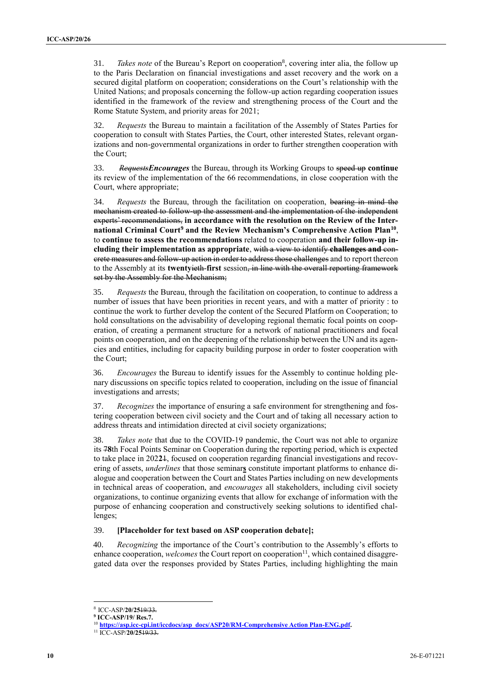31. Takes note of the Bureau's Report on cooperation<sup>8</sup>, covering inter alia, the follow up to the Paris Declaration on financial investigations and asset recovery and the work on a secured digital platform on cooperation; considerations on the Court's relationship with the United Nations; and proposals concerning the follow-up action regarding cooperation issues identified in the framework of the review and strengthening process of the Court and the Rome Statute System, and priority areas for 2021;

32. *Requests* the Bureau to maintain a facilitation of the Assembly of States Parties for cooperation to consult with States Parties, the Court, other interested States, relevant organizations and non-governmental organizations in order to further strengthen cooperation with the Court;

33. *RequestsEncourages* the Bureau, through its Working Groups to speed up **continue** its review of the implementation of the 66 recommendations, in close cooperation with the Court, where appropriate;

34. *Requests* the Bureau, through the facilitation on cooperation, bearing in mind the mechanism created to follow-up the assessment and the implementation of the independent experts' recommendations, **in accordance with the resolution on the Review of the International Criminal Court<sup>9</sup> and the Review Mechanism's Comprehensive Action Plan<sup>10</sup>** , to **continue to assess the recommendations** related to cooperation **and their follow-up including their implementation as appropriate**, with a view to identify **challenges and** concrete measures and follow-up action in order to address those challenges and to report thereon to the Assembly at its **twenty**ieth-**first** session, in line with the overall reporting framework set by the Assembly for the Mechanism;

35. *Requests* the Bureau, through the facilitation on cooperation, to continue to address a number of issues that have been priorities in recent years, and with a matter of priority : to continue the work to further develop the content of the Secured Platform on Cooperation; to hold consultations on the advisability of developing regional thematic focal points on cooperation, of creating a permanent structure for a network of national practitioners and focal points on cooperation, and on the deepening of the relationship between the UN and its agencies and entities, including for capacity building purpose in order to foster cooperation with the Court;

36. *Encourages* the Bureau to identify issues for the Assembly to continue holding plenary discussions on specific topics related to cooperation, including on the issue of financial investigations and arrests;

37. *Recognizes* the importance of ensuring a safe environment for strengthening and fostering cooperation between civil society and the Court and of taking all necessary action to address threats and intimidation directed at civil society organizations;

38. *Takes note* that due to the COVID-19 pandemic, the Court was not able to organize its 7**8**th Focal Points Seminar on Cooperation during the reporting period, which is expected to take place in 202**2**1, focused on cooperation regarding financial investigations and recovering of assets, *underlines* that those seminar**s** constitute important platforms to enhance dialogue and cooperation between the Court and States Parties including on new developments in technical areas of cooperation, and *encourages* all stakeholders, including civil society organizations, to continue organizing events that allow for exchange of information with the purpose of enhancing cooperation and constructively seeking solutions to identified challenges;

#### 39. **[Placeholder for text based on ASP cooperation debate];**

40. *Recognizing* the importance of the Court's contribution to the Assembly's efforts to enhance cooperation, *welcomes* the Court report on cooperation<sup>11</sup>, which contained disaggregated data over the responses provided by States Parties, including highlighting the main

 $\overline{a}$ 

<sup>8</sup> ICC-ASP/**20/25**19/33.

**<sup>9</sup> ICC-ASP/19/ Res.7.**

<sup>&</sup>lt;sup>10</sup> [https://asp.icc-cpi.int/iccdocs/asp\\_docs/ASP20/RM-Comprehensive Action Plan-ENG.pdf.](https://asp.icc-cpi.int/iccdocs/asp_docs/ASP20/RM-Comprehensive%20Action%20Plan-ENG.pdf)

<sup>11</sup> ICC-ASP/**20/25**19/33.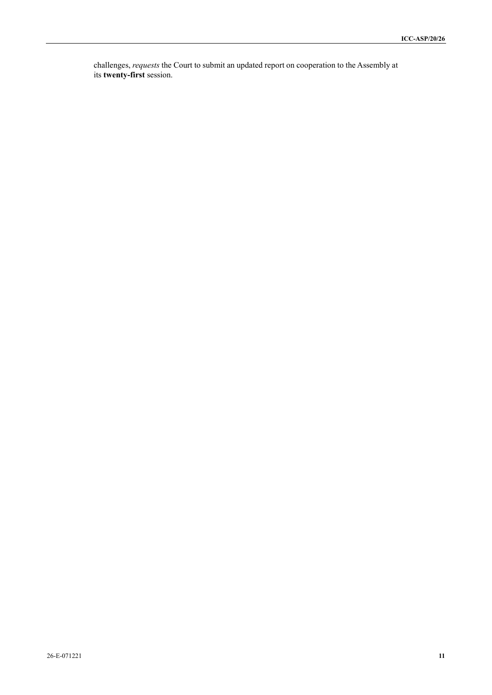challenges, *requests* the Court to submit an updated report on cooperation to the Assembly at its **twenty-first** session.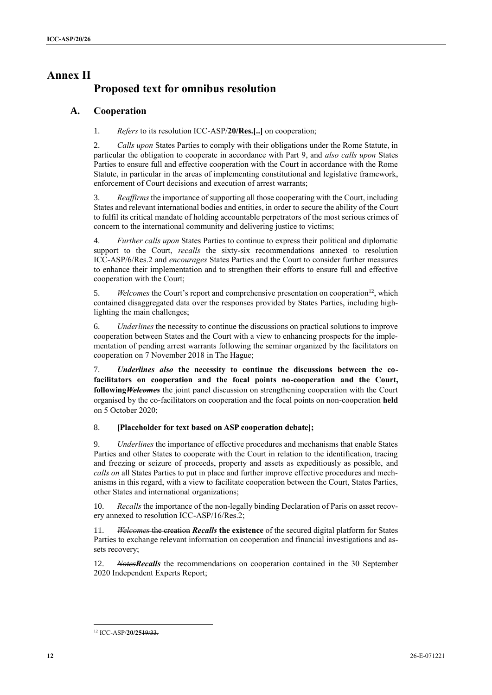# **Annex II Proposed text for omnibus resolution**

### **A. Cooperation**

1. *Refers* to its resolution ICC-ASP/**20/Res.[..]** on cooperation;

2. *Calls upon* States Parties to comply with their obligations under the Rome Statute, in particular the obligation to cooperate in accordance with Part 9, and *also calls upon* States Parties to ensure full and effective cooperation with the Court in accordance with the Rome Statute, in particular in the areas of implementing constitutional and legislative framework, enforcement of Court decisions and execution of arrest warrants;

3. *Reaffirms* the importance of supporting all those cooperating with the Court, including States and relevant international bodies and entities, in order to secure the ability of the Court to fulfil its critical mandate of holding accountable perpetrators of the most serious crimes of concern to the international community and delivering justice to victims;

4. *Further calls upon* States Parties to continue to express their political and diplomatic support to the Court, *recalls* the sixty-six recommendations annexed to resolution ICC-ASP/6/Res.2 and *encourages* States Parties and the Court to consider further measures to enhance their implementation and to strengthen their efforts to ensure full and effective cooperation with the Court;

5. Welcomes the Court's report and comprehensive presentation on cooperation<sup>12</sup>, which contained disaggregated data over the responses provided by States Parties, including highlighting the main challenges;

6. *Underlines* the necessity to continue the discussions on practical solutions to improve cooperation between States and the Court with a view to enhancing prospects for the implementation of pending arrest warrants following the seminar organized by the facilitators on cooperation on 7 November 2018 in The Hague;

7. *Underlines also* **the necessity to continue the discussions between the cofacilitators on cooperation and the focal points no-cooperation and the Court, following***Welcomes* the joint panel discussion on strengthening cooperation with the Court organised by the co-facilitators on cooperation and the focal points on non-cooperation **held**  on 5 October 2020;

### 8. **[Placeholder for text based on ASP cooperation debate];**

9. *Underlines* the importance of effective procedures and mechanisms that enable States Parties and other States to cooperate with the Court in relation to the identification, tracing and freezing or seizure of proceeds, property and assets as expeditiously as possible, and *calls on* all States Parties to put in place and further improve effective procedures and mechanisms in this regard, with a view to facilitate cooperation between the Court, States Parties, other States and international organizations;

10. *Recalls* the importance of the non-legally binding Declaration of Paris on asset recovery annexed to resolution ICC-ASP/16/Res.2;

11. *Welcomes* the creation *Recalls* **the existence** of the secured digital platform for States Parties to exchange relevant information on cooperation and financial investigations and assets recovery;

12. *NotesRecalls* the recommendations on cooperation contained in the 30 September 2020 Independent Experts Report;

 $\overline{\phantom{a}}$ <sup>12</sup> ICC-ASP/**20/25**19/33.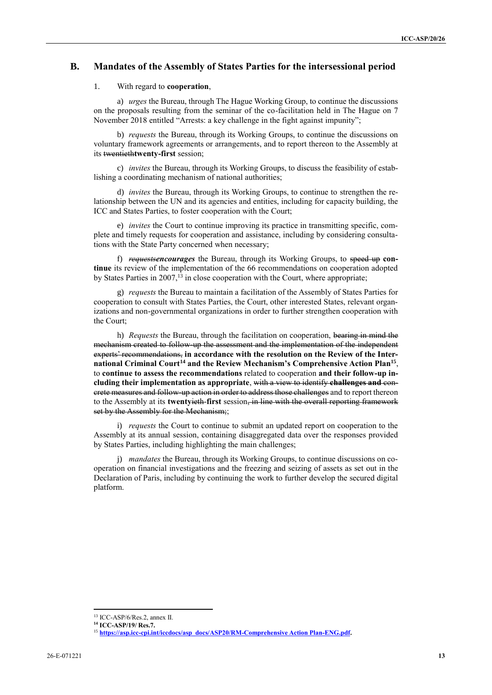### **B. Mandates of the Assembly of States Parties for the intersessional period**

#### 1. With regard to **cooperation**,

a) *urges* the Bureau, through The Hague Working Group, to continue the discussions on the proposals resulting from the seminar of the co-facilitation held in The Hague on 7 November 2018 entitled "Arrests: a key challenge in the fight against impunity";

b) *requests* the Bureau, through its Working Groups, to continue the discussions on voluntary framework agreements or arrangements, and to report thereon to the Assembly at its twentieth**twenty-first** session;

c) *invites* the Bureau, through its Working Groups, to discuss the feasibility of establishing a coordinating mechanism of national authorities;

d) *invites* the Bureau, through its Working Groups, to continue to strengthen the relationship between the UN and its agencies and entities, including for capacity building, the ICC and States Parties, to foster cooperation with the Court;

e) *invites* the Court to continue improving its practice in transmitting specific, complete and timely requests for cooperation and assistance, including by considering consultations with the State Party concerned when necessary;

f) *requestsencourages* the Bureau, through its Working Groups, to speed up **continue** its review of the implementation of the 66 recommendations on cooperation adopted by States Parties in 2007,<sup>13</sup> in close cooperation with the Court, where appropriate;

g) *requests* the Bureau to maintain a facilitation of the Assembly of States Parties for cooperation to consult with States Parties, the Court, other interested States, relevant organizations and non-governmental organizations in order to further strengthen cooperation with the Court;

h) *Requests* the Bureau, through the facilitation on cooperation, bearing in mind the mechanism created to follow-up the assessment and the implementation of the independent experts' recommendations, **in accordance with the resolution on the Review of the International Criminal Court<sup>14</sup> and the Review Mechanism's Comprehensive Action Plan<sup>15</sup>** , to **continue to assess the recommendations** related to cooperation **and their follow-up including their implementation as appropriate**, with a view to identify **challenges and** conerete measures and follow-up action in order to address those challenges and to report thereon to the Assembly at its **twenty**ieth-**first** session, in line with the overall reporting framework set by the Assembly for the Mechanism;;

i) *requests* the Court to continue to submit an updated report on cooperation to the Assembly at its annual session, containing disaggregated data over the responses provided by States Parties, including highlighting the main challenges;

j) *mandates* the Bureau, through its Working Groups, to continue discussions on cooperation on financial investigations and the freezing and seizing of assets as set out in the Declaration of Paris, including by continuing the work to further develop the secured digital platform.

 $13$  ICC-ASP/6/Res. 2, annex II.

**<sup>14</sup> ICC-ASP/19/ Res.7.**

<sup>15</sup> **[https://asp.icc-cpi.int/iccdocs/asp\\_docs/ASP20/RM-Comprehensive Action Plan-ENG.pdf.](https://asp.icc-cpi.int/iccdocs/asp_docs/ASP20/RM-Comprehensive%20Action%20Plan-ENG.pdf)**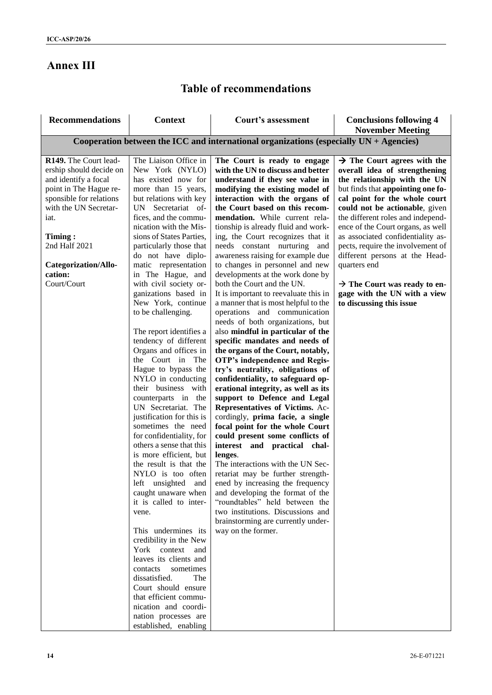# **Annex III**

#### **Recommendations Context Court's assessment Conclusions following 4 November Meeting Cooperation between the ICC and international organizations (especially UN + Agencies) R149.** The Court leadership should decide on and identify a focal point in The Hague responsible for relations with the UN Secretariat. **Timing :**  2nd Half 2021 **Categorization/Allocation:** Court/Court The Liaison Office in New York (NYLO) has existed now for more than 15 years, but relations with key UN Secretariat offices, and the communication with the Missions of States Parties, particularly those that do not have diplomatic representation in The Hague, and with civil society organizations based in New York, continue to be challenging. The report identifies a tendency of different Organs and offices in the Court in The Hague to bypass the NYLO in conducting their business with counterparts in the UN Secretariat. The justification for this is sometimes the need for confidentiality, for others a sense that this is more efficient, but the result is that the NYLO is too often left unsighted and caught unaware when it is called to intervene. This undermines its credibility in the New York context and leaves its clients and contacts sometimes dissatisfied. The Court should ensure that efficient communication and coordination processes are established, enabling **The Court is ready to engage with the UN to discuss and better understand if they see value in modifying the existing model of interaction with the organs of the Court based on this recommendation.** While current relationship is already fluid and working, the Court recognizes that it needs constant nurturing and awareness raising for example due to changes in personnel and new developments at the work done by both the Court and the UN. It is important to reevaluate this in a manner that is most helpful to the operations and communication needs of both organizations, but also **mindful in particular of the specific mandates and needs of the organs of the Court, notably, OTP's independence and Registry's neutrality, obligations of confidentiality, to safeguard operational integrity, as well as its support to Defence and Legal Representatives of Victims.** Accordingly, **prima facie, a single focal point for the whole Court could present some conflicts of interest and practical challenges**. The interactions with the UN Secretariat may be further strengthened by increasing the frequency and developing the format of the "roundtables" held between the two institutions. Discussions and brainstorming are currently underway on the former. **The Court agrees with the overall idea of strengthening the relationship with the UN** but finds that **appointing one focal point for the whole court could not be actionable**, given the different roles and independence of the Court organs, as well as associated confidentiality aspects, require the involvement of different persons at the Headquarters end → The Court was ready to en**gage with the UN with a view to discussing this issue**

# **Table of recommendations**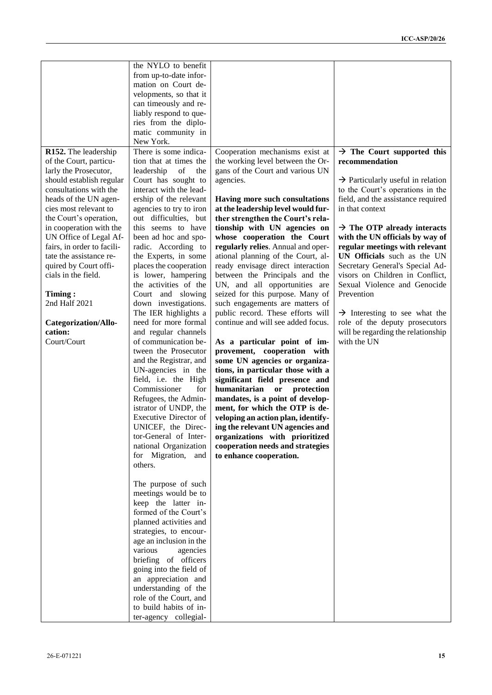|                            | the NYLO to benefit                            |                                                                    |                                               |
|----------------------------|------------------------------------------------|--------------------------------------------------------------------|-----------------------------------------------|
|                            | from up-to-date infor-                         |                                                                    |                                               |
|                            | mation on Court de-                            |                                                                    |                                               |
|                            | velopments, so that it                         |                                                                    |                                               |
|                            | can timeously and re-                          |                                                                    |                                               |
|                            | liably respond to que-                         |                                                                    |                                               |
|                            | ries from the diplo-                           |                                                                    |                                               |
|                            | matic community in                             |                                                                    |                                               |
|                            | New York.                                      |                                                                    |                                               |
| R152. The leadership       | There is some indica-                          | Cooperation mechanisms exist at                                    | $\rightarrow$ The Court supported this        |
| of the Court, particu-     | tion that at times the                         | the working level between the Or-                                  | recommendation                                |
| larly the Prosecutor,      | leadership<br>of<br>the                        | gans of the Court and various UN                                   |                                               |
| should establish regular   | Court has sought to                            | agencies.                                                          | $\rightarrow$ Particularly useful in relation |
| consultations with the     | interact with the lead-                        |                                                                    | to the Court's operations in the              |
| heads of the UN agen-      | ership of the relevant                         | Having more such consultations                                     | field, and the assistance required            |
| cies most relevant to      | agencies to try to iron                        | at the leadership level would fur-                                 | in that context                               |
| the Court's operation,     | out difficulties, but                          | ther strengthen the Court's rela-                                  |                                               |
| in cooperation with the    | this seems to have                             | tionship with UN agencies on                                       | $\rightarrow$ The OTP already interacts       |
| UN Office of Legal Af-     | been ad hoc and spo-                           | whose cooperation the Court                                        | with the UN officials by way of               |
| fairs, in order to facili- | radic. According to                            | regularly relies. Annual and oper-                                 | regular meetings with relevant                |
| tate the assistance re-    | the Experts, in some                           | ational planning of the Court, al-                                 | UN Officials such as the UN                   |
| quired by Court offi-      | places the cooperation                         | ready envisage direct interaction                                  | Secretary General's Special Ad-               |
| cials in the field.        | is lower, hampering                            | between the Principals and the                                     | visors on Children in Conflict,               |
|                            | the activities of the                          | UN, and all opportunities are                                      | Sexual Violence and Genocide                  |
| Timing:                    | Court and slowing                              | seized for this purpose. Many of                                   | Prevention                                    |
| 2nd Half 2021              | down investigations.                           | such engagements are matters of                                    |                                               |
|                            | The IER highlights a                           | public record. These efforts will                                  | $\rightarrow$ Interesting to see what the     |
| Categorization/Allo-       | need for more formal                           | continue and will see added focus.                                 | role of the deputy prosecutors                |
| cation:                    | and regular channels                           |                                                                    | will be regarding the relationship            |
| Court/Court                | of communication be-                           | As a particular point of im-                                       | with the UN                                   |
|                            | tween the Prosecutor                           | provement, cooperation with                                        |                                               |
|                            | and the Registrar, and                         | some UN agencies or organiza-                                      |                                               |
|                            | UN-agencies in the                             | tions, in particular those with a                                  |                                               |
|                            | field, i.e. the High                           | significant field presence and                                     |                                               |
|                            | Commissioner<br>for                            | humanitarian<br>or<br>protection                                   |                                               |
|                            | Refugees, the Admin-                           | mandates, is a point of develop-                                   |                                               |
|                            | istrator of UNDP, the<br>Executive Director of | ment, for which the OTP is de-                                     |                                               |
|                            |                                                | veloping an action plan, identify-                                 |                                               |
|                            | UNICEF, the Direc-                             | ing the relevant UN agencies and                                   |                                               |
|                            | tor-General of Inter-<br>national Organization | organizations with prioritized<br>cooperation needs and strategies |                                               |
|                            | for Migration, and                             | to enhance cooperation.                                            |                                               |
|                            | others.                                        |                                                                    |                                               |
|                            |                                                |                                                                    |                                               |
|                            | The purpose of such                            |                                                                    |                                               |
|                            | meetings would be to                           |                                                                    |                                               |
|                            | keep the latter in-                            |                                                                    |                                               |
|                            | formed of the Court's                          |                                                                    |                                               |
|                            | planned activities and                         |                                                                    |                                               |
|                            | strategies, to encour-                         |                                                                    |                                               |
|                            | age an inclusion in the                        |                                                                    |                                               |
|                            | various<br>agencies                            |                                                                    |                                               |
|                            | briefing of officers                           |                                                                    |                                               |
|                            | going into the field of                        |                                                                    |                                               |
|                            | an appreciation and                            |                                                                    |                                               |
|                            | understanding of the                           |                                                                    |                                               |
|                            | role of the Court, and                         |                                                                    |                                               |
|                            | to build habits of in-                         |                                                                    |                                               |
|                            | ter-agency collegial-                          |                                                                    |                                               |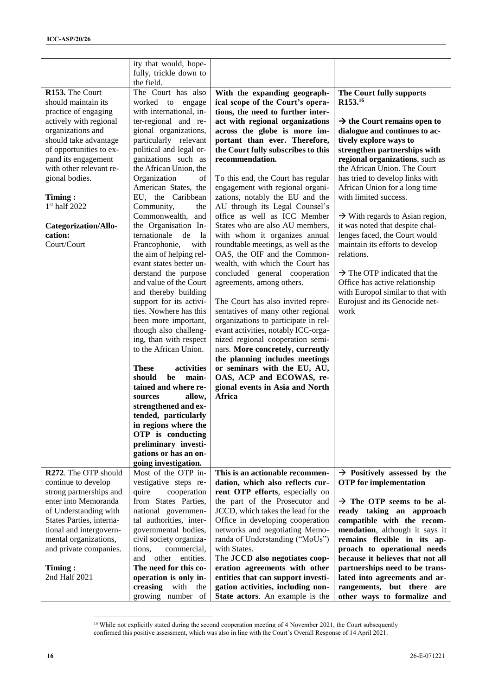|                             | ity that would, hope-                     |                                      |                                             |
|-----------------------------|-------------------------------------------|--------------------------------------|---------------------------------------------|
|                             | fully, trickle down to                    |                                      |                                             |
|                             | the field.                                |                                      |                                             |
| R153. The Court             | The Court has also                        | With the expanding geograph-         | The Court fully supports                    |
| should maintain its         | worked to engage                          | ical scope of the Court's opera-     | R153. <sup>16</sup>                         |
| practice of engaging        | with international, in-                   | tions, the need to further inter-    |                                             |
| actively with regional      | ter-regional and re-                      | act with regional organizations      | $\rightarrow$ the Court remains open to     |
| organizations and           | gional organizations,                     | across the globe is more im-         | dialogue and continues to ac-               |
| should take advantage       | particularly relevant                     | portant than ever. Therefore,        | tively explore ways to                      |
| of opportunities to ex-     | political and legal or-                   | the Court fully subscribes to this   | strengthen partnerships with                |
| pand its engagement         | ganizations such as                       | recommendation.                      | regional organizations, such as             |
| with other relevant re-     | the African Union, the                    |                                      | the African Union. The Court                |
| gional bodies.              | Organization<br>οf                        | To this end, the Court has regular   | has tried to develop links with             |
|                             | American States, the                      | engagement with regional organi-     | African Union for a long time               |
| Timing:                     | EU, the Caribbean                         | zations, notably the EU and the      | with limited success.                       |
| 1st half 2022               | Community,<br>the                         | AU through its Legal Counsel's       |                                             |
|                             | Commonwealth, and                         | office as well as ICC Member         | $\rightarrow$ With regards to Asian region, |
| <b>Categorization/Allo-</b> | the Organisation In-                      | States who are also AU members,      | it was noted that despite chal-             |
| cation:                     | ternationale<br>de<br>la                  | with whom it organizes annual        | lenges faced, the Court would               |
| Court/Court                 | Francophonie,<br>with                     | roundtable meetings, as well as the  | maintain its efforts to develop             |
|                             | the aim of helping rel-                   | OAS, the OIF and the Common-         | relations.                                  |
|                             | evant states better un-                   | wealth, with which the Court has     |                                             |
|                             | derstand the purpose                      | concluded general cooperation        | $\rightarrow$ The OTP indicated that the    |
|                             | and value of the Court                    | agreements, among others.            | Office has active relationship              |
|                             | and thereby building                      |                                      | with Europol similar to that with           |
|                             | support for its activi-                   | The Court has also invited repre-    | Eurojust and its Genocide net-              |
|                             | ties. Nowhere has this                    | sentatives of many other regional    | work                                        |
|                             | been more important,                      | organizations to participate in rel- |                                             |
|                             | though also challeng-                     | evant activities, notably ICC-orga-  |                                             |
|                             | ing, than with respect                    | nized regional cooperation semi-     |                                             |
|                             | to the African Union.                     | nars. More concretely, currently     |                                             |
|                             |                                           | the planning includes meetings       |                                             |
|                             | <b>These</b><br>activities                | or seminars with the EU, AU,         |                                             |
|                             | should<br>be<br>main-                     | OAS, ACP and ECOWAS, re-             |                                             |
|                             | tained and where re-                      | gional events in Asia and North      |                                             |
|                             | sources<br>allow,                         | Africa                               |                                             |
|                             | strengthened and ex-                      |                                      |                                             |
|                             | tended, particularly                      |                                      |                                             |
|                             | in regions where the<br>OTP is conducting |                                      |                                             |
|                             | preliminary investi-                      |                                      |                                             |
|                             | gations or has an on-                     |                                      |                                             |
|                             | going investigation.                      |                                      |                                             |
| R272. The OTP should        | Most of the OTP in-                       | This is an actionable recommen-      | $\rightarrow$ Positively assessed by the    |
| continue to develop         | vestigative steps re-                     | dation, which also reflects cur-     | <b>OTP</b> for implementation               |
| strong partnerships and     | quire<br>cooperation                      | rent OTP efforts, especially on      |                                             |
| enter into Memoranda        | from States Parties,                      | the part of the Prosecutor and       | $\rightarrow$ The OTP seems to be al-       |
| of Understanding with       | national governmen-                       | JCCD, which takes the lead for the   | ready taking an approach                    |
| States Parties, interna-    | tal authorities, inter-                   | Office in developing cooperation     | compatible with the recom-                  |
| tional and intergovern-     | governmental bodies,                      | networks and negotiating Memo-       | mendation, although it says it              |
| mental organizations,       | civil society organiza-                   | randa of Understanding ("MoUs")      | remains flexible in its ap-                 |
| and private companies.      | tions,<br>commercial,                     | with States.                         | proach to operational needs                 |
|                             | other<br>and<br>entities.                 | The JCCD also negotiates coop-       | because it believes that not all            |
| Timing:                     | The need for this co-                     | eration agreements with other        | partnerships need to be trans-              |
| 2nd Half 2021               | operation is only in-                     | entities that can support investi-   | lated into agreements and ar-               |
|                             | creasing<br>with the                      | gation activities, including non-    | rangements, but there are                   |
|                             | growing number of                         | State actors. An example is the      | other ways to formalize and                 |

<sup>&</sup>lt;sup>16</sup> While not explicitly stated during the second cooperation meeting of 4 November 2021, the Court subsequently confirmed this positive assessment, which was also in line with the Court's Overall Response of 14 April 2021.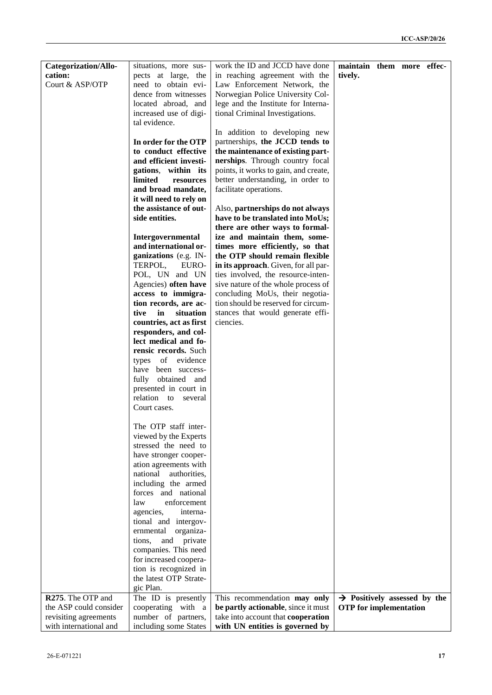| <b>Categorization/Allo-</b> | situations, more sus-                          | work the ID and JCCD have done                                  |         | maintain them more effec-                |  |
|-----------------------------|------------------------------------------------|-----------------------------------------------------------------|---------|------------------------------------------|--|
| cation:                     | pects at large, the                            | in reaching agreement with the                                  | tively. |                                          |  |
| Court & ASP/OTP             | need to obtain evi-                            | Law Enforcement Network, the                                    |         |                                          |  |
|                             | dence from witnesses                           | Norwegian Police University Col-                                |         |                                          |  |
|                             | located abroad, and                            | lege and the Institute for Interna-                             |         |                                          |  |
|                             | increased use of digi-                         | tional Criminal Investigations.                                 |         |                                          |  |
|                             | tal evidence.                                  |                                                                 |         |                                          |  |
|                             |                                                | In addition to developing new                                   |         |                                          |  |
|                             | In order for the OTP                           | partnerships, the JCCD tends to                                 |         |                                          |  |
|                             | to conduct effective                           | the maintenance of existing part-                               |         |                                          |  |
|                             | and efficient investi-                         | nerships. Through country focal                                 |         |                                          |  |
|                             | gations, within its                            | points, it works to gain, and create,                           |         |                                          |  |
|                             | limited<br>resources                           | better understanding, in order to                               |         |                                          |  |
|                             | and broad mandate,                             | facilitate operations.                                          |         |                                          |  |
|                             | it will need to rely on                        |                                                                 |         |                                          |  |
|                             | the assistance of out-                         | Also, partnerships do not always                                |         |                                          |  |
|                             | side entities.                                 | have to be translated into MoUs;                                |         |                                          |  |
|                             |                                                | there are other ways to formal-<br>ize and maintain them, some- |         |                                          |  |
|                             | Intergovernmental<br>and international or-     | times more efficiently, so that                                 |         |                                          |  |
|                             | ganizations (e.g. IN-                          | the OTP should remain flexible                                  |         |                                          |  |
|                             | TERPOL,<br>EURO-                               | in its approach. Given, for all par-                            |         |                                          |  |
|                             | POL, UN and UN                                 | ties involved, the resource-inten-                              |         |                                          |  |
|                             | Agencies) often have                           | sive nature of the whole process of                             |         |                                          |  |
|                             | access to immigra-                             | concluding MoUs, their negotia-                                 |         |                                          |  |
|                             | tion records, are ac-                          | tion should be reserved for circum-                             |         |                                          |  |
|                             | tive<br>in<br>situation                        | stances that would generate effi-                               |         |                                          |  |
|                             | countries, act as first                        | ciencies.                                                       |         |                                          |  |
|                             | responders, and col-                           |                                                                 |         |                                          |  |
|                             | lect medical and fo-                           |                                                                 |         |                                          |  |
|                             | rensic records. Such                           |                                                                 |         |                                          |  |
|                             | types of evidence                              |                                                                 |         |                                          |  |
|                             | have been success-                             |                                                                 |         |                                          |  |
|                             | fully obtained and                             |                                                                 |         |                                          |  |
|                             | presented in court in                          |                                                                 |         |                                          |  |
|                             | relation to<br>several                         |                                                                 |         |                                          |  |
|                             | Court cases.                                   |                                                                 |         |                                          |  |
|                             |                                                |                                                                 |         |                                          |  |
|                             | The OTP staff inter-                           |                                                                 |         |                                          |  |
|                             | viewed by the Experts                          |                                                                 |         |                                          |  |
|                             | stressed the need to                           |                                                                 |         |                                          |  |
|                             | have stronger cooper-<br>ation agreements with |                                                                 |         |                                          |  |
|                             | national<br>authorities,                       |                                                                 |         |                                          |  |
|                             | including the armed                            |                                                                 |         |                                          |  |
|                             | forces and national                            |                                                                 |         |                                          |  |
|                             | enforcement<br>law                             |                                                                 |         |                                          |  |
|                             | agencies,<br>interna-                          |                                                                 |         |                                          |  |
|                             | tional and intergov-                           |                                                                 |         |                                          |  |
|                             | organiza-<br>ernmental                         |                                                                 |         |                                          |  |
|                             | tions,<br>and<br>private                       |                                                                 |         |                                          |  |
|                             | companies. This need                           |                                                                 |         |                                          |  |
|                             | for increased coopera-                         |                                                                 |         |                                          |  |
|                             | tion is recognized in                          |                                                                 |         |                                          |  |
|                             | the latest OTP Strate-                         |                                                                 |         |                                          |  |
|                             | gic Plan.                                      |                                                                 |         |                                          |  |
| R275. The OTP and           | The ID is presently                            | This recommendation may only                                    |         | $\rightarrow$ Positively assessed by the |  |
| the ASP could consider      | cooperating with a                             | be partly actionable, since it must                             |         | <b>OTP</b> for implementation            |  |
| revisiting agreements       | number of partners,                            | take into account that cooperation                              |         |                                          |  |
| with international and      | including some States                          | with UN entities is governed by                                 |         |                                          |  |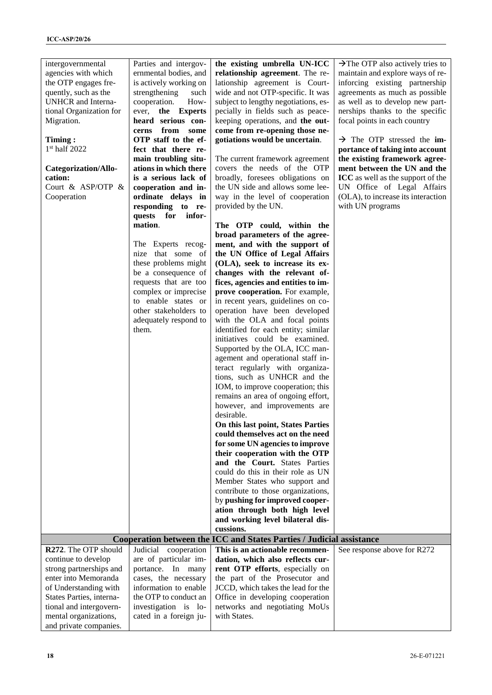| intergovernmental           | Parties and intergov-   | the existing umbrella UN-ICC                                           | $\rightarrow$ The OTP also actively tries to |
|-----------------------------|-------------------------|------------------------------------------------------------------------|----------------------------------------------|
| agencies with which         | ernmental bodies, and   | relationship agreement. The re-                                        | maintain and explore ways of re-             |
| the OTP engages fre-        | is actively working on  | lationship agreement is Court-                                         | inforcing existing partnership               |
| quently, such as the        | strengthening<br>such   | wide and not OTP-specific. It was                                      | agreements as much as possible               |
| UNHCR and Interna-          | cooperation.<br>How-    | subject to lengthy negotiations, es-                                   | as well as to develop new part-              |
| tional Organization for     | ever, the Experts       | pecially in fields such as peace-                                      | nerships thanks to the specific              |
| Migration.                  | heard serious con-      | keeping operations, and the out-                                       | focal points in each country                 |
|                             | from<br>cerns<br>some   | come from re-opening those ne-                                         |                                              |
| Timing:                     | OTP staff to the ef-    | gotiations would be uncertain.                                         | $\rightarrow$ The OTP stressed the im-       |
| 1 <sup>st</sup> half 2022   | fect that there re-     |                                                                        | portance of taking into account              |
|                             | main troubling situ-    | The current framework agreement                                        | the existing framework agree-                |
| <b>Categorization/Allo-</b> | ations in which there   | covers the needs of the OTP                                            | ment between the UN and the                  |
| cation:                     | is a serious lack of    | broadly, foresees obligations on                                       | ICC as well as the support of the            |
| Court & ASP/OTP $\&$        | cooperation and in-     | the UN side and allows some lee-                                       | UN Office of Legal Affairs                   |
| Cooperation                 | ordinate delays in      | way in the level of cooperation                                        | (OLA), to increase its interaction           |
|                             | responding to re-       | provided by the UN.                                                    | with UN programs                             |
|                             | quests for infor-       |                                                                        |                                              |
|                             | mation.                 | The OTP could, within the                                              |                                              |
|                             |                         | broad parameters of the agree-                                         |                                              |
|                             | The Experts recog-      | ment, and with the support of                                          |                                              |
|                             | nize that some of       | the UN Office of Legal Affairs                                         |                                              |
|                             | these problems might    | (OLA), seek to increase its ex-                                        |                                              |
|                             | be a consequence of     | changes with the relevant of-                                          |                                              |
|                             | requests that are too   | fices, agencies and entities to im-                                    |                                              |
|                             | complex or imprecise    | prove cooperation. For example,                                        |                                              |
|                             | to enable states or     | in recent years, guidelines on co-                                     |                                              |
|                             | other stakeholders to   | operation have been developed                                          |                                              |
|                             | adequately respond to   | with the OLA and focal points                                          |                                              |
|                             | them.                   | identified for each entity; similar                                    |                                              |
|                             |                         | initiatives could be examined.                                         |                                              |
|                             |                         | Supported by the OLA, ICC man-                                         |                                              |
|                             |                         | agement and operational staff in-                                      |                                              |
|                             |                         | teract regularly with organiza-                                        |                                              |
|                             |                         | tions, such as UNHCR and the                                           |                                              |
|                             |                         | IOM, to improve cooperation; this                                      |                                              |
|                             |                         | remains an area of ongoing effort,                                     |                                              |
|                             |                         | however, and improvements are                                          |                                              |
|                             |                         | desirable.                                                             |                                              |
|                             |                         | On this last point, States Parties<br>could themselves act on the need |                                              |
|                             |                         |                                                                        |                                              |
|                             |                         | for some UN agencies to improve                                        |                                              |
|                             |                         | their cooperation with the OTP<br>and the Court. States Parties        |                                              |
|                             |                         | could do this in their role as UN                                      |                                              |
|                             |                         | Member States who support and                                          |                                              |
|                             |                         | contribute to those organizations,                                     |                                              |
|                             |                         | by pushing for improved cooper-                                        |                                              |
|                             |                         | ation through both high level                                          |                                              |
|                             |                         | and working level bilateral dis-                                       |                                              |
|                             |                         | cussions.                                                              |                                              |
|                             |                         | Cooperation between the ICC and States Parties / Judicial assistance   |                                              |
| R272. The OTP should        | Judicial<br>cooperation | This is an actionable recommen-                                        | See response above for R272                  |
| continue to develop         | are of particular im-   | dation, which also reflects cur-                                       |                                              |
| strong partnerships and     | portance. In<br>many    | rent OTP efforts, especially on                                        |                                              |
| enter into Memoranda        | cases, the necessary    | the part of the Prosecutor and                                         |                                              |
| of Understanding with       | information to enable   | JCCD, which takes the lead for the                                     |                                              |
| States Parties, interna-    | the OTP to conduct an   | Office in developing cooperation                                       |                                              |
| tional and intergovern-     | investigation is lo-    | networks and negotiating MoUs                                          |                                              |
| mental organizations,       | cated in a foreign ju-  | with States.                                                           |                                              |
| and private companies.      |                         |                                                                        |                                              |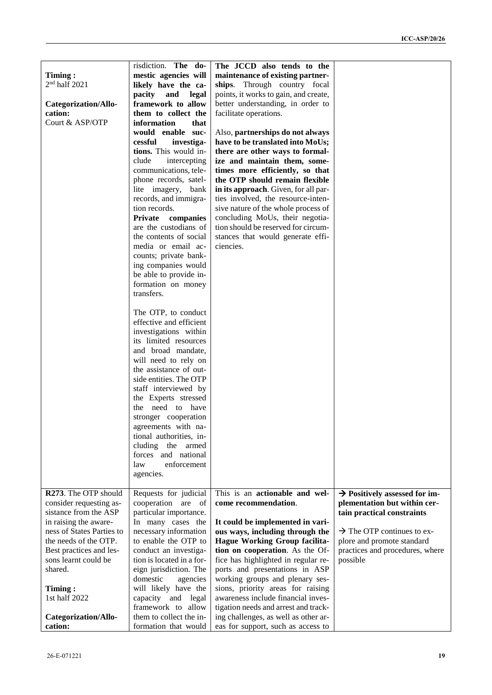| the Experts stressed<br>the need to have<br>stronger cooperation<br>agreements with na-<br>tional authorities, in-<br>cluding<br>the armed<br>forces and national<br>enforcement<br>law<br>agencies.<br>R273. The OTP should<br>This is an actionable and wel-<br>Requests for judicial<br>consider requesting as-<br>cooperation are of<br>come recommendation.<br>sistance from the ASP<br>particular importance.<br>in raising the aware-<br>In many cases the<br>It could be implemented in vari-                                                                                                                                                                                                                                                                                                             | The JCCD also tends to the<br>maintenance of existing partner-<br>ships. Through country focal<br>points, it works to gain, and create,<br>better understanding, in order to<br>Also, partnerships do not always<br>have to be translated into MoUs;<br>there are other ways to formal-<br>ize and maintain them, some-<br>times more efficiently, so that<br>the OTP should remain flexible<br>in its approach. Given, for all par-<br>ties involved, the resource-inten-<br>sive nature of the whole process of<br>concluding MoUs, their negotia-<br>tion should be reserved for circum-<br>stances that would generate effi- |
|-------------------------------------------------------------------------------------------------------------------------------------------------------------------------------------------------------------------------------------------------------------------------------------------------------------------------------------------------------------------------------------------------------------------------------------------------------------------------------------------------------------------------------------------------------------------------------------------------------------------------------------------------------------------------------------------------------------------------------------------------------------------------------------------------------------------|----------------------------------------------------------------------------------------------------------------------------------------------------------------------------------------------------------------------------------------------------------------------------------------------------------------------------------------------------------------------------------------------------------------------------------------------------------------------------------------------------------------------------------------------------------------------------------------------------------------------------------|
|                                                                                                                                                                                                                                                                                                                                                                                                                                                                                                                                                                                                                                                                                                                                                                                                                   |                                                                                                                                                                                                                                                                                                                                                                                                                                                                                                                                                                                                                                  |
| ness of States Parties to<br>necessary information<br>ous ways, including through the<br>the needs of the OTP.<br><b>Hague Working Group facilita-</b><br>to enable the OTP to<br>Best practices and les-<br>conduct an investiga-<br>tion on cooperation. As the Of-<br>sons learnt could be<br>tion is located in a for-<br>fice has highlighted in regular re-<br>shared.<br>ports and presentations in ASP<br>eign jurisdiction. The<br>working groups and plenary ses-<br>domestic<br>agencies<br>sions, priority areas for raising<br>will likely have the<br>Timing:<br>1st half 2022<br>awareness include financial inves-<br>capacity and legal<br>framework to allow<br>tigation needs and arrest and track-<br>them to collect the in-<br>ing challenges, as well as other ar-<br>Categorization/Allo- | $\rightarrow$ Positively assessed for im-<br>plementation but within cer-<br>tain practical constraints<br>$\rightarrow$ The OTP continues to ex-<br>plore and promote standard<br>practices and procedures, where<br>possible                                                                                                                                                                                                                                                                                                                                                                                                   |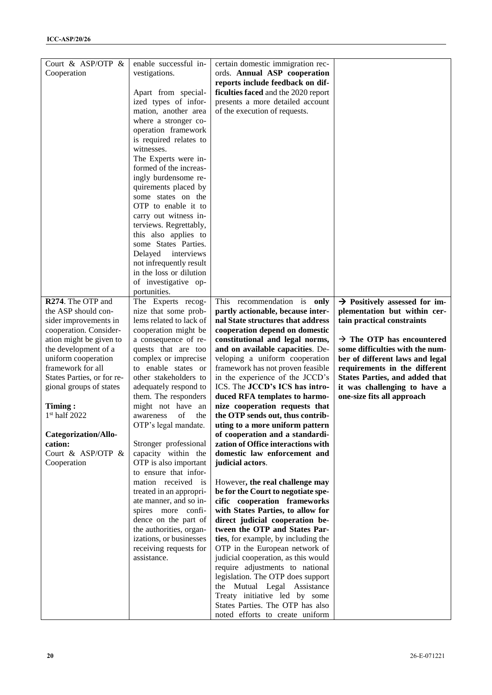| Court & ASP/OTP &<br>Cooperation                | enable successful in-<br>vestigations.          | certain domestic immigration rec-<br>ords. Annual ASP cooperation  |                                                                           |
|-------------------------------------------------|-------------------------------------------------|--------------------------------------------------------------------|---------------------------------------------------------------------------|
|                                                 |                                                 | reports include feedback on dif-                                   |                                                                           |
|                                                 | Apart from special-                             | ficulties faced and the 2020 report                                |                                                                           |
|                                                 | ized types of infor-                            | presents a more detailed account                                   |                                                                           |
|                                                 | mation, another area                            | of the execution of requests.                                      |                                                                           |
|                                                 | where a stronger co-                            |                                                                    |                                                                           |
|                                                 | operation framework<br>is required relates to   |                                                                    |                                                                           |
|                                                 | witnesses.                                      |                                                                    |                                                                           |
|                                                 | The Experts were in-                            |                                                                    |                                                                           |
|                                                 | formed of the increas-                          |                                                                    |                                                                           |
|                                                 | ingly burdensome re-                            |                                                                    |                                                                           |
|                                                 | quirements placed by                            |                                                                    |                                                                           |
|                                                 | some states on the                              |                                                                    |                                                                           |
|                                                 | OTP to enable it to                             |                                                                    |                                                                           |
|                                                 | carry out witness in-                           |                                                                    |                                                                           |
|                                                 | terviews. Regrettably,<br>this also applies to  |                                                                    |                                                                           |
|                                                 | some States Parties.                            |                                                                    |                                                                           |
|                                                 | interviews<br>Delayed                           |                                                                    |                                                                           |
|                                                 | not infrequently result                         |                                                                    |                                                                           |
|                                                 | in the loss or dilution                         |                                                                    |                                                                           |
|                                                 | of investigative op-                            |                                                                    |                                                                           |
| R274. The OTP and                               | portunities.                                    | recommendation is only                                             |                                                                           |
| the ASP should con-                             | The Experts recog-<br>nize that some prob-      | This<br>partly actionable, because inter-                          | $\rightarrow$ Positively assessed for im-<br>plementation but within cer- |
| sider improvements in                           | lems related to lack of                         | nal State structures that address                                  | tain practical constraints                                                |
| cooperation. Consider-                          | cooperation might be                            | cooperation depend on domestic                                     |                                                                           |
| ation might be given to                         | a consequence of re-                            | constitutional and legal norms,                                    | $\rightarrow$ The OTP has encountered                                     |
| the development of a                            | quests that are too                             | and on available capacities. De-                                   | some difficulties with the num-                                           |
| uniform cooperation                             | complex or imprecise                            | veloping a uniform cooperation                                     | ber of different laws and legal                                           |
| framework for all<br>States Parties, or for re- | to enable states or<br>other stakeholders to    | framework has not proven feasible                                  | requirements in the different<br><b>States Parties, and added that</b>    |
| gional groups of states                         | adequately respond to                           | in the experience of the JCCD's<br>ICS. The JCCD's ICS has intro-  | it was challenging to have a                                              |
|                                                 | them. The responders                            | duced RFA templates to harmo-                                      | one-size fits all approach                                                |
| Timing:                                         | might not have<br>an                            | nize cooperation requests that                                     |                                                                           |
| 1st half 2022                                   | of<br>awareness<br>the                          | the OTP sends out, thus contrib-                                   |                                                                           |
|                                                 | OTP's legal mandate.                            | uting to a more uniform pattern                                    |                                                                           |
| <b>Categorization/Allo-</b>                     |                                                 | of cooperation and a standardi-                                    |                                                                           |
| cation:<br>Court & ASP/OTP &                    | Stronger professional                           | zation of Office interactions with<br>domestic law enforcement and |                                                                           |
| Cooperation                                     | capacity within the<br>OTP is also important    | judicial actors.                                                   |                                                                           |
|                                                 | to ensure that infor-                           |                                                                    |                                                                           |
|                                                 | mation received is                              | However, the real challenge may                                    |                                                                           |
|                                                 | treated in an appropri-                         | be for the Court to negotiate spe-                                 |                                                                           |
|                                                 | ate manner, and so in-                          | cific cooperation frameworks                                       |                                                                           |
|                                                 | spires more confi-                              | with States Parties, to allow for                                  |                                                                           |
|                                                 | dence on the part of<br>the authorities, organ- | direct judicial cooperation be-<br>tween the OTP and States Par-   |                                                                           |
|                                                 | izations, or businesses                         | ties, for example, by including the                                |                                                                           |
|                                                 | receiving requests for                          | OTP in the European network of                                     |                                                                           |
|                                                 | assistance.                                     | judicial cooperation, as this would                                |                                                                           |
|                                                 |                                                 | require adjustments to national                                    |                                                                           |
|                                                 |                                                 | legislation. The OTP does support                                  |                                                                           |
|                                                 |                                                 | the Mutual Legal Assistance                                        |                                                                           |
|                                                 |                                                 | Treaty initiative led by some<br>States Parties. The OTP has also  |                                                                           |
|                                                 |                                                 | noted efforts to create uniform                                    |                                                                           |
|                                                 |                                                 |                                                                    |                                                                           |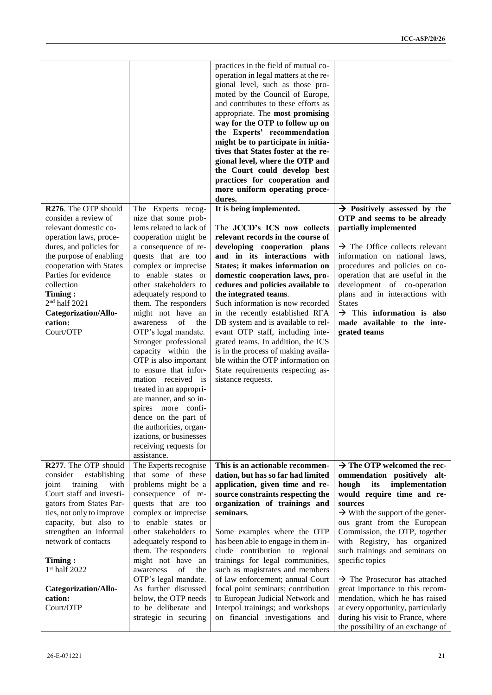| R276. The OTP should<br>consider a review of<br>relevant domestic co-<br>operation laws, proce-<br>dures, and policies for<br>the purpose of enabling<br>cooperation with States<br>Parties for evidence<br>collection<br>Timing:<br>$2nd$ half 2021<br>Categorization/Allo-<br>cation:<br>Court/OTP | The Experts recog-<br>nize that some prob-<br>lems related to lack of<br>cooperation might be<br>a consequence of re-<br>quests that are too<br>complex or imprecise<br>to enable states or<br>other stakeholders to<br>adequately respond to<br>them. The responders<br>might not have an<br>of<br>awareness<br>the<br>OTP's legal mandate.<br>Stronger professional<br>capacity within the<br>OTP is also important<br>to ensure that infor-<br>mation received is<br>treated in an appropri-<br>ate manner, and so in-<br>spires more confi-<br>dence on the part of<br>the authorities, organ-<br>izations, or businesses | practices in the field of mutual co-<br>operation in legal matters at the re-<br>gional level, such as those pro-<br>moted by the Council of Europe,<br>and contributes to these efforts as<br>appropriate. The most promising<br>way for the OTP to follow up on<br>the Experts' recommendation<br>might be to participate in initia-<br>tives that States foster at the re-<br>gional level, where the OTP and<br>the Court could develop best<br>practices for cooperation and<br>more uniform operating proce-<br>dures.<br>It is being implemented.<br>The JCCD's ICS now collects<br>relevant records in the course of<br>developing cooperation plans<br>and in its interactions with<br>States; it makes information on<br>domestic cooperation laws, pro-<br>cedures and policies available to<br>the integrated teams.<br>Such information is now recorded<br>in the recently established RFA<br>DB system and is available to rel-<br>evant OTP staff, including inte-<br>grated teams. In addition, the ICS<br>is in the process of making availa-<br>ble within the OTP information on<br>State requirements respecting as-<br>sistance requests. | $\rightarrow$ Positively assessed by the<br>OTP and seems to be already<br>partially implemented<br>$\rightarrow$ The Office collects relevant<br>information on national laws,<br>procedures and policies on co-<br>operation that are useful in the<br>development of co-operation<br>plans and in interactions with<br><b>States</b><br>$\rightarrow$ This information is also<br>made available to the inte-<br>grated teams |
|------------------------------------------------------------------------------------------------------------------------------------------------------------------------------------------------------------------------------------------------------------------------------------------------------|-------------------------------------------------------------------------------------------------------------------------------------------------------------------------------------------------------------------------------------------------------------------------------------------------------------------------------------------------------------------------------------------------------------------------------------------------------------------------------------------------------------------------------------------------------------------------------------------------------------------------------|----------------------------------------------------------------------------------------------------------------------------------------------------------------------------------------------------------------------------------------------------------------------------------------------------------------------------------------------------------------------------------------------------------------------------------------------------------------------------------------------------------------------------------------------------------------------------------------------------------------------------------------------------------------------------------------------------------------------------------------------------------------------------------------------------------------------------------------------------------------------------------------------------------------------------------------------------------------------------------------------------------------------------------------------------------------------------------------------------------------------------------------------------------------|----------------------------------------------------------------------------------------------------------------------------------------------------------------------------------------------------------------------------------------------------------------------------------------------------------------------------------------------------------------------------------------------------------------------------------|
|                                                                                                                                                                                                                                                                                                      | receiving requests for<br>assistance.                                                                                                                                                                                                                                                                                                                                                                                                                                                                                                                                                                                         |                                                                                                                                                                                                                                                                                                                                                                                                                                                                                                                                                                                                                                                                                                                                                                                                                                                                                                                                                                                                                                                                                                                                                                |                                                                                                                                                                                                                                                                                                                                                                                                                                  |
| R277. The OTP should<br>consider<br>establishing<br>training                                                                                                                                                                                                                                         | The Experts recognise<br>that some of these                                                                                                                                                                                                                                                                                                                                                                                                                                                                                                                                                                                   | This is an actionable recommen-<br>dation, but has so far had limited                                                                                                                                                                                                                                                                                                                                                                                                                                                                                                                                                                                                                                                                                                                                                                                                                                                                                                                                                                                                                                                                                          | $\rightarrow$ The OTP welcomed the rec-<br>ommendation positively alt-<br>implementation                                                                                                                                                                                                                                                                                                                                         |
| joint<br>with<br>Court staff and investi-<br>gators from States Par-<br>ties, not only to improve<br>capacity, but also to                                                                                                                                                                           | problems might be a<br>consequence of re-<br>quests that are too<br>complex or imprecise<br>to enable states or                                                                                                                                                                                                                                                                                                                                                                                                                                                                                                               | application, given time and re-<br>source constraints respecting the<br>organization of trainings and<br>seminars.                                                                                                                                                                                                                                                                                                                                                                                                                                                                                                                                                                                                                                                                                                                                                                                                                                                                                                                                                                                                                                             | hough<br>its<br>would require time and re-<br>sources<br>$\rightarrow$ With the support of the gener-<br>ous grant from the European                                                                                                                                                                                                                                                                                             |
| strengthen an informal<br>network of contacts<br>Timing:<br>$1st$ half 2022                                                                                                                                                                                                                          | other stakeholders to<br>adequately respond to<br>them. The responders<br>might not have an<br>οf<br>the<br>awareness                                                                                                                                                                                                                                                                                                                                                                                                                                                                                                         | Some examples where the OTP<br>has been able to engage in them in-<br>clude contribution to regional<br>trainings for legal communities,<br>such as magistrates and members                                                                                                                                                                                                                                                                                                                                                                                                                                                                                                                                                                                                                                                                                                                                                                                                                                                                                                                                                                                    | Commission, the OTP, together<br>with Registry, has organized<br>such trainings and seminars on<br>specific topics                                                                                                                                                                                                                                                                                                               |
| <b>Categorization/Allo-</b><br>cation:<br>Court/OTP                                                                                                                                                                                                                                                  | OTP's legal mandate.<br>As further discussed<br>below, the OTP needs<br>to be deliberate and<br>strategic in securing                                                                                                                                                                                                                                                                                                                                                                                                                                                                                                         | of law enforcement; annual Court<br>focal point seminars; contribution<br>to European Judicial Network and<br>Interpol trainings; and workshops<br>on financial investigations and                                                                                                                                                                                                                                                                                                                                                                                                                                                                                                                                                                                                                                                                                                                                                                                                                                                                                                                                                                             | $\rightarrow$ The Prosecutor has attached<br>great importance to this recom-<br>mendation, which he has raised<br>at every opportunity, particularly<br>during his visit to France, where<br>the possibility of an exchange of                                                                                                                                                                                                   |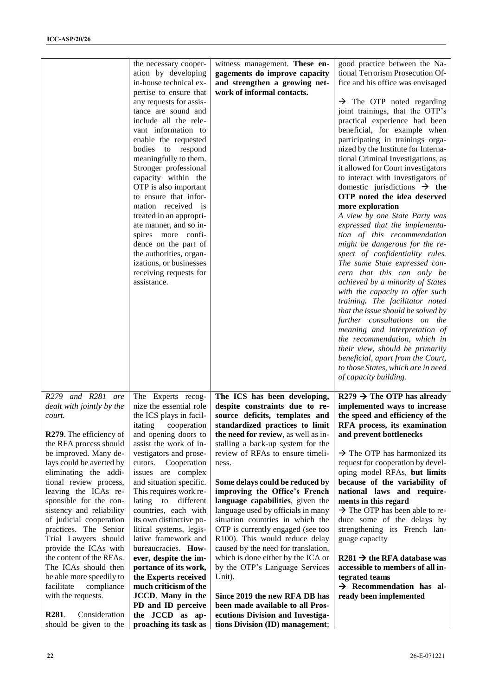|                                                                                                                                                                                                                                                                                                                                                                                                          | the necessary cooper-<br>ation by developing<br>in-house technical ex-<br>pertise to ensure that<br>any requests for assis-<br>tance are sound and<br>include all the rele-<br>vant information to<br>enable the requested<br>bodies to respond<br>meaningfully to them.<br>Stronger professional<br>capacity within the<br>OTP is also important<br>to ensure that infor-<br>mation received is<br>treated in an appropri-<br>ate manner, and so in-<br>spires more confi-<br>dence on the part of<br>the authorities, organ-<br>izations, or businesses<br>receiving requests for<br>assistance. | witness management. These en-<br>gagements do improve capacity<br>and strengthen a growing net-<br>work of informal contacts.                                                                                                                                                                                                                                                                                                                                                                                                                                | good practice between the Na-<br>tional Terrorism Prosecution Of-<br>fice and his office was envisaged<br>$\rightarrow$ The OTP noted regarding<br>joint trainings, that the OTP's<br>practical experience had been<br>beneficial, for example when<br>participating in trainings orga-<br>nized by the Institute for Interna-<br>tional Criminal Investigations, as<br>it allowed for Court investigators<br>to interact with investigators of<br>domestic jurisdictions $\rightarrow$ the<br>OTP noted the idea deserved<br>more exploration<br>A view by one State Party was<br>expressed that the implementa-<br>tion of this recommendation<br>might be dangerous for the re-<br>spect of confidentiality rules.<br>The same State expressed con-<br>cern that this can only be<br>achieved by a minority of States<br>with the capacity to offer such<br>training. The facilitator noted<br>that the issue should be solved by<br>further consultations on the<br>meaning and interpretation of<br>the recommendation, which in<br>their view, should be primarily<br>beneficial, apart from the Court,<br>to those States, which are in need<br>of capacity building. |
|----------------------------------------------------------------------------------------------------------------------------------------------------------------------------------------------------------------------------------------------------------------------------------------------------------------------------------------------------------------------------------------------------------|----------------------------------------------------------------------------------------------------------------------------------------------------------------------------------------------------------------------------------------------------------------------------------------------------------------------------------------------------------------------------------------------------------------------------------------------------------------------------------------------------------------------------------------------------------------------------------------------------|--------------------------------------------------------------------------------------------------------------------------------------------------------------------------------------------------------------------------------------------------------------------------------------------------------------------------------------------------------------------------------------------------------------------------------------------------------------------------------------------------------------------------------------------------------------|------------------------------------------------------------------------------------------------------------------------------------------------------------------------------------------------------------------------------------------------------------------------------------------------------------------------------------------------------------------------------------------------------------------------------------------------------------------------------------------------------------------------------------------------------------------------------------------------------------------------------------------------------------------------------------------------------------------------------------------------------------------------------------------------------------------------------------------------------------------------------------------------------------------------------------------------------------------------------------------------------------------------------------------------------------------------------------------------------------------------------------------------------------------------------|
| R279 and R281 are<br>dealt with jointly by the<br>court.<br>R279. The efficiency of<br>the RFA process should<br>be improved. Many de-<br>lays could be averted by<br>eliminating the addi-<br>tional review process,<br>leaving the ICAs re-<br>sponsible for the con-<br>sistency and reliability<br>of judicial cooperation<br>practices. The Senior<br>Trial Lawyers should<br>provide the ICAs with | The Experts recog-<br>nize the essential role<br>the ICS plays in facil-<br>itating cooperation<br>and opening doors to<br>assist the work of in-<br>vestigators and prose-<br>cutors. Cooperation<br>issues are complex<br>and situation specific.<br>This requires work re-<br>lating to different<br>countries, each with<br>its own distinctive po-<br>litical systems, legis-<br>lative framework and<br>bureaucracies. How-                                                                                                                                                                  | The ICS has been developing,<br>despite constraints due to re-<br>source deficits, templates and<br>standardized practices to limit<br>the need for review, as well as in-<br>stalling a back-up system for the<br>review of RFAs to ensure timeli-<br>ness.<br>Some delays could be reduced by<br>improving the Office's French<br>language capabilities, given the<br>language used by officials in many<br>situation countries in which the<br>OTP is currently engaged (see too<br>R100). This would reduce delay<br>caused by the need for translation, | $R279 \rightarrow$ The OTP has already<br>implemented ways to increase<br>the speed and efficiency of the<br>RFA process, its examination<br>and prevent bottlenecks<br>$\rightarrow$ The OTP has harmonized its<br>request for cooperation by devel-<br>oping model RFAs, but limits<br>because of the variability of<br>national laws and require-<br>ments in this regard<br>$\rightarrow$ The OTP has been able to re-<br>duce some of the delays by<br>strengthening its French lan-<br>guage capacity                                                                                                                                                                                                                                                                                                                                                                                                                                                                                                                                                                                                                                                                  |
| the content of the RFAs.<br>The ICAs should then<br>be able more speedily to<br>facilitate<br>compliance<br>with the requests.<br>R <sub>281</sub> .<br>Consideration<br>should be given to the                                                                                                                                                                                                          | ever, despite the im-<br>portance of its work,<br>the Experts received<br>much criticism of the<br><b>JCCD</b> . Many in the<br>PD and ID perceive<br>the JCCD as ap-<br>proaching its task as                                                                                                                                                                                                                                                                                                                                                                                                     | which is done either by the ICA or<br>by the OTP's Language Services<br>Unit).<br>Since 2019 the new RFA DB has<br>been made available to all Pros-<br>ecutions Division and Investiga-<br>tions Division (ID) management;                                                                                                                                                                                                                                                                                                                                   | $R281 \rightarrow$ the RFA database was<br>accessible to members of all in-<br>tegrated teams<br>$\rightarrow$ Recommendation has al-<br>ready been implemented                                                                                                                                                                                                                                                                                                                                                                                                                                                                                                                                                                                                                                                                                                                                                                                                                                                                                                                                                                                                              |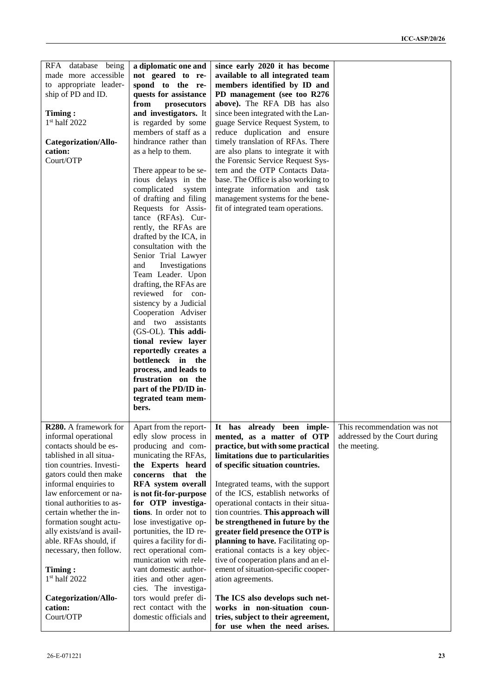| RFA database being<br>made more accessible<br>to appropriate leader-<br>ship of PD and ID.<br>Timing:<br>$1st$ half 2022<br><b>Categorization/Allo-</b><br>cation:<br>Court/OTP | a diplomatic one and<br>not geared to re-<br>spond to the re-<br>quests for assistance<br>from<br>prosecutors<br>and investigators. It<br>is regarded by some<br>members of staff as a<br>hindrance rather than<br>as a help to them.<br>There appear to be se-<br>rious delays in the<br>complicated system<br>of drafting and filing<br>Requests for Assis-<br>tance (RFAs). Cur-<br>rently, the RFAs are<br>drafted by the ICA, in<br>consultation with the<br>Senior Trial Lawyer<br>Investigations<br>and<br>Team Leader. Upon<br>drafting, the RFAs are<br>reviewed for con-<br>sistency by a Judicial<br>Cooperation Adviser<br>and two assistants<br>(GS-OL). This addi-<br>tional review layer<br>reportedly creates a<br>bottleneck in the<br>process, and leads to<br>frustration on the<br>part of the PD/ID in-<br>tegrated team mem-<br>bers. | since early 2020 it has become<br>available to all integrated team<br>members identified by ID and<br>PD management (see too R276<br>above). The RFA DB has also<br>since been integrated with the Lan-<br>guage Service Request System, to<br>reduce duplication and ensure<br>timely translation of RFAs. There<br>are also plans to integrate it with<br>the Forensic Service Request Sys-<br>tem and the OTP Contacts Data-<br>base. The Office is also working to<br>integrate information and task<br>management systems for the bene-<br>fit of integrated team operations. |                               |
|---------------------------------------------------------------------------------------------------------------------------------------------------------------------------------|-------------------------------------------------------------------------------------------------------------------------------------------------------------------------------------------------------------------------------------------------------------------------------------------------------------------------------------------------------------------------------------------------------------------------------------------------------------------------------------------------------------------------------------------------------------------------------------------------------------------------------------------------------------------------------------------------------------------------------------------------------------------------------------------------------------------------------------------------------------|------------------------------------------------------------------------------------------------------------------------------------------------------------------------------------------------------------------------------------------------------------------------------------------------------------------------------------------------------------------------------------------------------------------------------------------------------------------------------------------------------------------------------------------------------------------------------------|-------------------------------|
|                                                                                                                                                                                 |                                                                                                                                                                                                                                                                                                                                                                                                                                                                                                                                                                                                                                                                                                                                                                                                                                                             | R280. A framework for   Apart from the report-   It has already been imple-                                                                                                                                                                                                                                                                                                                                                                                                                                                                                                        | This recommendation was not   |
| informal operational                                                                                                                                                            | edly slow process in                                                                                                                                                                                                                                                                                                                                                                                                                                                                                                                                                                                                                                                                                                                                                                                                                                        | mented, as a matter of OTP                                                                                                                                                                                                                                                                                                                                                                                                                                                                                                                                                         | addressed by the Court during |
| contacts should be es-                                                                                                                                                          | producing and com-                                                                                                                                                                                                                                                                                                                                                                                                                                                                                                                                                                                                                                                                                                                                                                                                                                          | practice, but with some practical                                                                                                                                                                                                                                                                                                                                                                                                                                                                                                                                                  | the meeting.                  |
| tablished in all situa-                                                                                                                                                         | municating the RFAs,                                                                                                                                                                                                                                                                                                                                                                                                                                                                                                                                                                                                                                                                                                                                                                                                                                        | limitations due to particularities                                                                                                                                                                                                                                                                                                                                                                                                                                                                                                                                                 |                               |
| tion countries. Investi-                                                                                                                                                        | the Experts heard                                                                                                                                                                                                                                                                                                                                                                                                                                                                                                                                                                                                                                                                                                                                                                                                                                           | of specific situation countries.                                                                                                                                                                                                                                                                                                                                                                                                                                                                                                                                                   |                               |
| gators could then make                                                                                                                                                          | concerns that the                                                                                                                                                                                                                                                                                                                                                                                                                                                                                                                                                                                                                                                                                                                                                                                                                                           |                                                                                                                                                                                                                                                                                                                                                                                                                                                                                                                                                                                    |                               |
| informal enquiries to                                                                                                                                                           | RFA system overall                                                                                                                                                                                                                                                                                                                                                                                                                                                                                                                                                                                                                                                                                                                                                                                                                                          | Integrated teams, with the support                                                                                                                                                                                                                                                                                                                                                                                                                                                                                                                                                 |                               |
| law enforcement or na-                                                                                                                                                          | is not fit-for-purpose                                                                                                                                                                                                                                                                                                                                                                                                                                                                                                                                                                                                                                                                                                                                                                                                                                      | of the ICS, establish networks of                                                                                                                                                                                                                                                                                                                                                                                                                                                                                                                                                  |                               |
| tional authorities to as-<br>certain whether the in-                                                                                                                            | for OTP investiga-<br>tions. In order not to                                                                                                                                                                                                                                                                                                                                                                                                                                                                                                                                                                                                                                                                                                                                                                                                                | operational contacts in their situa-<br>tion countries. This approach will                                                                                                                                                                                                                                                                                                                                                                                                                                                                                                         |                               |
| formation sought actu-                                                                                                                                                          | lose investigative op-                                                                                                                                                                                                                                                                                                                                                                                                                                                                                                                                                                                                                                                                                                                                                                                                                                      | be strengthened in future by the                                                                                                                                                                                                                                                                                                                                                                                                                                                                                                                                                   |                               |
| ally exists/and is avail-                                                                                                                                                       | portunities, the ID re-                                                                                                                                                                                                                                                                                                                                                                                                                                                                                                                                                                                                                                                                                                                                                                                                                                     | greater field presence the OTP is                                                                                                                                                                                                                                                                                                                                                                                                                                                                                                                                                  |                               |
| able. RFAs should, if                                                                                                                                                           | quires a facility for di-                                                                                                                                                                                                                                                                                                                                                                                                                                                                                                                                                                                                                                                                                                                                                                                                                                   | planning to have. Facilitating op-                                                                                                                                                                                                                                                                                                                                                                                                                                                                                                                                                 |                               |
| necessary, then follow.                                                                                                                                                         | rect operational com-                                                                                                                                                                                                                                                                                                                                                                                                                                                                                                                                                                                                                                                                                                                                                                                                                                       | erational contacts is a key objec-                                                                                                                                                                                                                                                                                                                                                                                                                                                                                                                                                 |                               |
|                                                                                                                                                                                 |                                                                                                                                                                                                                                                                                                                                                                                                                                                                                                                                                                                                                                                                                                                                                                                                                                                             | tive of cooperation plans and an el-                                                                                                                                                                                                                                                                                                                                                                                                                                                                                                                                               |                               |
| Timing:                                                                                                                                                                         | munication with rele-                                                                                                                                                                                                                                                                                                                                                                                                                                                                                                                                                                                                                                                                                                                                                                                                                                       |                                                                                                                                                                                                                                                                                                                                                                                                                                                                                                                                                                                    |                               |
|                                                                                                                                                                                 | vant domestic author-                                                                                                                                                                                                                                                                                                                                                                                                                                                                                                                                                                                                                                                                                                                                                                                                                                       | ement of situation-specific cooper-                                                                                                                                                                                                                                                                                                                                                                                                                                                                                                                                                |                               |
| 1 <sup>st</sup> half 2022                                                                                                                                                       | ities and other agen-                                                                                                                                                                                                                                                                                                                                                                                                                                                                                                                                                                                                                                                                                                                                                                                                                                       | ation agreements.                                                                                                                                                                                                                                                                                                                                                                                                                                                                                                                                                                  |                               |
|                                                                                                                                                                                 | cies. The investiga-                                                                                                                                                                                                                                                                                                                                                                                                                                                                                                                                                                                                                                                                                                                                                                                                                                        |                                                                                                                                                                                                                                                                                                                                                                                                                                                                                                                                                                                    |                               |
| <b>Categorization/Allo-</b>                                                                                                                                                     | tors would prefer di-                                                                                                                                                                                                                                                                                                                                                                                                                                                                                                                                                                                                                                                                                                                                                                                                                                       | The ICS also develops such net-                                                                                                                                                                                                                                                                                                                                                                                                                                                                                                                                                    |                               |
| cation:                                                                                                                                                                         | rect contact with the                                                                                                                                                                                                                                                                                                                                                                                                                                                                                                                                                                                                                                                                                                                                                                                                                                       | works in non-situation coun-                                                                                                                                                                                                                                                                                                                                                                                                                                                                                                                                                       |                               |
| Court/OTP                                                                                                                                                                       | domestic officials and                                                                                                                                                                                                                                                                                                                                                                                                                                                                                                                                                                                                                                                                                                                                                                                                                                      | tries, subject to their agreement,<br>for use when the need arises.                                                                                                                                                                                                                                                                                                                                                                                                                                                                                                                |                               |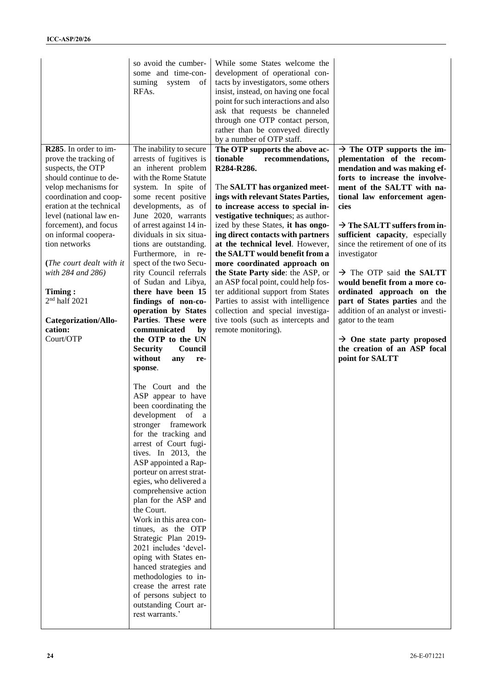|                                                                                                                                                                                                                                                                                                                                                                                                                | so avoid the cumber-<br>some and time-con-<br>suming system of<br>RFA <sub>s</sub> .                                                                                                                                                                                                                                                                                                                                                                                                                                                                                                                                                                                                                                                                                                                                                                                                                                                                                                                                                                                                                                                                                                                   | While some States welcome the<br>development of operational con-<br>tacts by investigators, some others<br>insist, instead, on having one focal<br>point for such interactions and also<br>ask that requests be channeled<br>through one OTP contact person,<br>rather than be conveyed directly<br>by a number of OTP staff.                                                                                                                                                                                                                                                                                                                                              |                                                                                                                                                                                                                                                                                                                                                                                                                                                                                                                                                                                                                                                   |
|----------------------------------------------------------------------------------------------------------------------------------------------------------------------------------------------------------------------------------------------------------------------------------------------------------------------------------------------------------------------------------------------------------------|--------------------------------------------------------------------------------------------------------------------------------------------------------------------------------------------------------------------------------------------------------------------------------------------------------------------------------------------------------------------------------------------------------------------------------------------------------------------------------------------------------------------------------------------------------------------------------------------------------------------------------------------------------------------------------------------------------------------------------------------------------------------------------------------------------------------------------------------------------------------------------------------------------------------------------------------------------------------------------------------------------------------------------------------------------------------------------------------------------------------------------------------------------------------------------------------------------|----------------------------------------------------------------------------------------------------------------------------------------------------------------------------------------------------------------------------------------------------------------------------------------------------------------------------------------------------------------------------------------------------------------------------------------------------------------------------------------------------------------------------------------------------------------------------------------------------------------------------------------------------------------------------|---------------------------------------------------------------------------------------------------------------------------------------------------------------------------------------------------------------------------------------------------------------------------------------------------------------------------------------------------------------------------------------------------------------------------------------------------------------------------------------------------------------------------------------------------------------------------------------------------------------------------------------------------|
| R285. In order to im-<br>prove the tracking of<br>suspects, the OTP<br>should continue to de-<br>velop mechanisms for<br>coordination and coop-<br>eration at the technical<br>level (national law en-<br>forcement), and focus<br>on informal coopera-<br>tion networks<br>(The court dealt with it<br>with 284 and 286)<br>Timing:<br>$2nd$ half 2021<br><b>Categorization/Allo-</b><br>cation:<br>Court/OTP | The inability to secure<br>arrests of fugitives is<br>an inherent problem<br>with the Rome Statute<br>system. In spite of<br>some recent positive<br>developments, as of<br>June 2020, warrants<br>of arrest against 14 in-<br>dividuals in six situa-<br>tions are outstanding.<br>Furthermore, in re-<br>spect of the two Secu-<br>rity Council referrals<br>of Sudan and Libya,<br>there have been 15<br>findings of non-co-<br>operation by States<br>Parties. These were<br>communicated<br>by<br>the OTP to the UN<br><b>Security</b><br>Council<br>without<br>any<br>re-<br>sponse.<br>The Court and the<br>ASP appear to have<br>been coordinating the<br>development of a<br>stronger framework<br>for the tracking and<br>arrest of Court fugi-<br>tives. In 2013, the<br>ASP appointed a Rap-<br>porteur on arrest strat-<br>egies, who delivered a<br>comprehensive action<br>plan for the ASP and<br>the Court.<br>Work in this area con-<br>tinues, as the OTP<br>Strategic Plan 2019-<br>2021 includes 'devel-<br>oping with States en-<br>hanced strategies and<br>methodologies to in-<br>crease the arrest rate<br>of persons subject to<br>outstanding Court ar-<br>rest warrants.' | The OTP supports the above ac-<br>tionable<br>recommendations,<br>R284-R286.<br>The SALTT has organized meet-<br>ings with relevant States Parties,<br>to increase access to special in-<br>vestigative techniques; as author-<br>ized by these States, it has ongo-<br>ing direct contacts with partners<br>at the technical level. However,<br>the SALTT would benefit from a<br>more coordinated approach on<br>the State Party side: the ASP, or<br>an ASP focal point, could help fos-<br>ter additional support from States<br>Parties to assist with intelligence<br>collection and special investiga-<br>tive tools (such as intercepts and<br>remote monitoring). | $\rightarrow$ The OTP supports the im-<br>plementation of the recom-<br>mendation and was making ef-<br>forts to increase the involve-<br>ment of the SALTT with na-<br>tional law enforcement agen-<br>cies<br>$\rightarrow$ The SALTT suffers from in-<br>sufficient capacity, especially<br>since the retirement of one of its<br>investigator<br>$\rightarrow$ The OTP said the SALTT<br>would benefit from a more co-<br>ordinated approach on the<br>part of States parties and the<br>addition of an analyst or investi-<br>gator to the team<br>$\rightarrow$ One state party proposed<br>the creation of an ASP focal<br>point for SALTT |